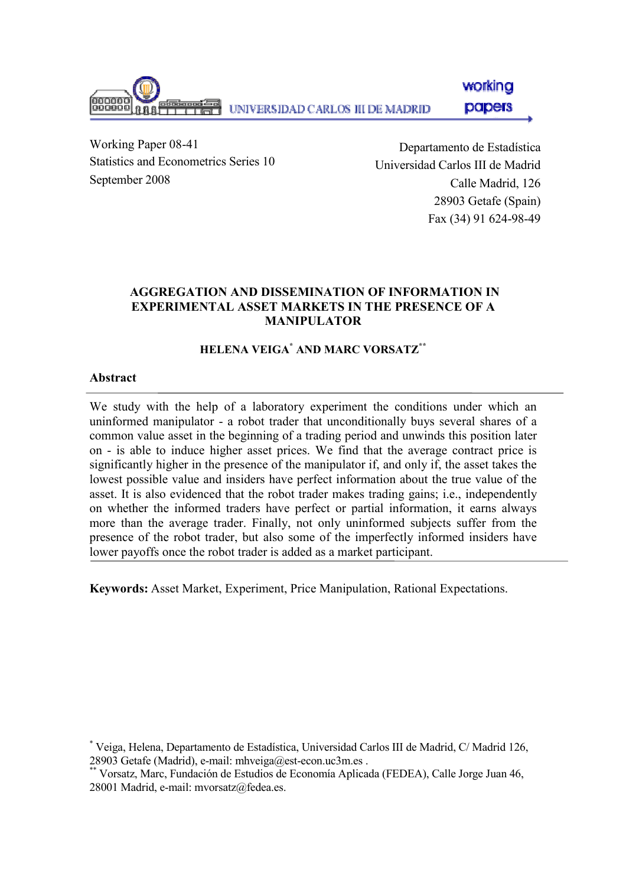

Working Paper 08-41 Statistics and Econometrics Series 10 September 2008

Departamento de Estadística Universidad Carlos III de Madrid Calle Madrid, 126 28903 Getafe (Spain) Fax (34) 91 624-98-49

# AGGREGATION AND DISSEMINATION OF INFORMATION IN EXPERIMENTAL ASSET MARKETS IN THE PRESENCE OF A MANIPULATOR

# HELENA VEIGA\* AND MARC VORSATZ\*\*

# Abstract

We study with the help of a laboratory experiment the conditions under which an uninformed manipulator - a robot trader that unconditionally buys several shares of a common value asset in the beginning of a trading period and unwinds this position later on - is able to induce higher asset prices. We find that the average contract price is significantly higher in the presence of the manipulator if, and only if, the asset takes the lowest possible value and insiders have perfect information about the true value of the asset. It is also evidenced that the robot trader makes trading gains; i.e., independently on whether the informed traders have perfect or partial information, it earns always more than the average trader. Finally, not only uninformed subjects suffer from the presence of the robot trader, but also some of the imperfectly informed insiders have lower payoffs once the robot trader is added as a market participant.

Keywords: Asset Market, Experiment, Price Manipulation, Rational Expectations.

<sup>\*</sup> Veiga, Helena, Departamento de Estadística, Universidad Carlos III de Madrid, C/ Madrid 126, 28903 Getafe (Madrid), e-mail: mhveiga@est-econ.uc3m.es.

<sup>\*\*</sup> Vorsatz, Marc, Fundación de Estudios de Economía Aplicada (FEDEA), Calle Jorge Juan 46, 28001 Madrid, e-mail: mvorsatz@fedea.es.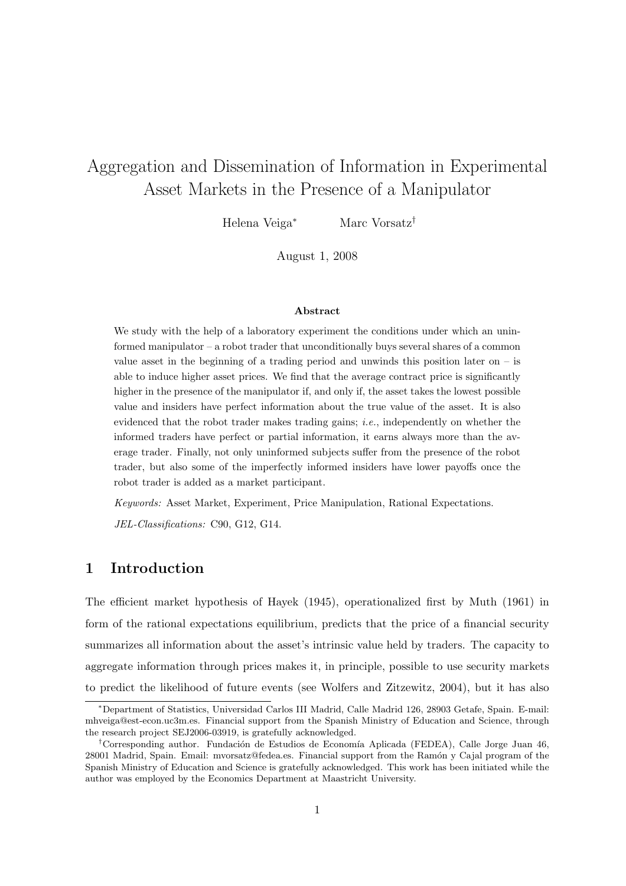# Aggregation and Dissemination of Information in Experimental Asset Markets in the Presence of a Manipulator

Helena Veiga<sup>∗</sup> Marc Vorsatz†

August 1, 2008

#### Abstract

We study with the help of a laboratory experiment the conditions under which an uninformed manipulator – a robot trader that unconditionally buys several shares of a common value asset in the beginning of a trading period and unwinds this position later on  $-$  is able to induce higher asset prices. We find that the average contract price is significantly higher in the presence of the manipulator if, and only if, the asset takes the lowest possible value and insiders have perfect information about the true value of the asset. It is also evidenced that the robot trader makes trading gains; *i.e.*, independently on whether the informed traders have perfect or partial information, it earns always more than the average trader. Finally, not only uninformed subjects suffer from the presence of the robot trader, but also some of the imperfectly informed insiders have lower payoffs once the robot trader is added as a market participant.

*Keywords:* Asset Market, Experiment, Price Manipulation, Rational Expectations.

*JEL-Classifications:* C90, G12, G14.

## 1 Introduction

The efficient market hypothesis of Hayek (1945), operationalized first by Muth (1961) in form of the rational expectations equilibrium, predicts that the price of a financial security summarizes all information about the asset's intrinsic value held by traders. The capacity to aggregate information through prices makes it, in principle, possible to use security markets to predict the likelihood of future events (see Wolfers and Zitzewitz, 2004), but it has also

<sup>∗</sup>Department of Statistics, Universidad Carlos III Madrid, Calle Madrid 126, 28903 Getafe, Spain. E-mail: mhveiga@est-econ.uc3m.es. Financial support from the Spanish Ministry of Education and Science, through the research project SEJ2006-03919, is gratefully acknowledged.

<sup>&</sup>lt;sup>†</sup>Corresponding author. Fundación de Estudios de Economía Aplicada (FEDEA), Calle Jorge Juan 46, 28001 Madrid, Spain. Email: myorsatz@fedea.es. Financial support from the Ramón y Cajal program of the Spanish Ministry of Education and Science is gratefully acknowledged. This work has been initiated while the author was employed by the Economics Department at Maastricht University.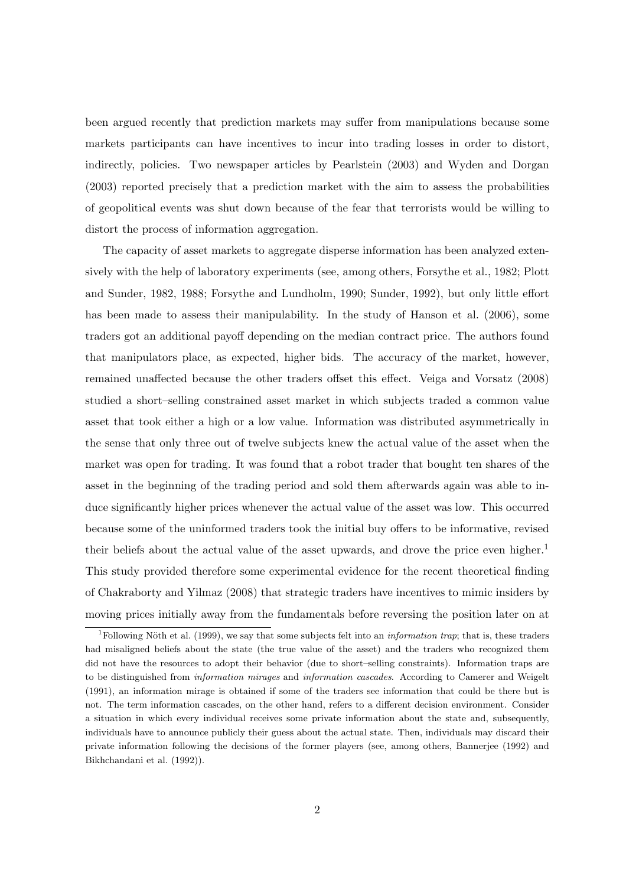been argued recently that prediction markets may suffer from manipulations because some markets participants can have incentives to incur into trading losses in order to distort, indirectly, policies. Two newspaper articles by Pearlstein (2003) and Wyden and Dorgan (2003) reported precisely that a prediction market with the aim to assess the probabilities of geopolitical events was shut down because of the fear that terrorists would be willing to distort the process of information aggregation.

The capacity of asset markets to aggregate disperse information has been analyzed extensively with the help of laboratory experiments (see, among others, Forsythe et al., 1982; Plott and Sunder, 1982, 1988; Forsythe and Lundholm, 1990; Sunder, 1992), but only little effort has been made to assess their manipulability. In the study of Hanson et al.  $(2006)$ , some traders got an additional payoff depending on the median contract price. The authors found that manipulators place, as expected, higher bids. The accuracy of the market, however, remained unaffected because the other traders offset this effect. Veiga and Vorsatz (2008) studied a short–selling constrained asset market in which subjects traded a common value asset that took either a high or a low value. Information was distributed asymmetrically in the sense that only three out of twelve subjects knew the actual value of the asset when the market was open for trading. It was found that a robot trader that bought ten shares of the asset in the beginning of the trading period and sold them afterwards again was able to induce significantly higher prices whenever the actual value of the asset was low. This occurred because some of the uninformed traders took the initial buy offers to be informative, revised their beliefs about the actual value of the asset upwards, and drove the price even higher.<sup>1</sup> This study provided therefore some experimental evidence for the recent theoretical finding of Chakraborty and Yilmaz (2008) that strategic traders have incentives to mimic insiders by moving prices initially away from the fundamentals before reversing the position later on at

<sup>&</sup>lt;sup>1</sup>Following Nöth et al. (1999), we say that some subjects felt into an *information trap*; that is, these traders had misaligned beliefs about the state (the true value of the asset) and the traders who recognized them did not have the resources to adopt their behavior (due to short–selling constraints). Information traps are to be distinguished from information mirages and information cascades. According to Camerer and Weigelt (1991), an information mirage is obtained if some of the traders see information that could be there but is not. The term information cascades, on the other hand, refers to a different decision environment. Consider a situation in which every individual receives some private information about the state and, subsequently, individuals have to announce publicly their guess about the actual state. Then, individuals may discard their private information following the decisions of the former players (see, among others, Bannerjee (1992) and Bikhchandani et al. (1992)).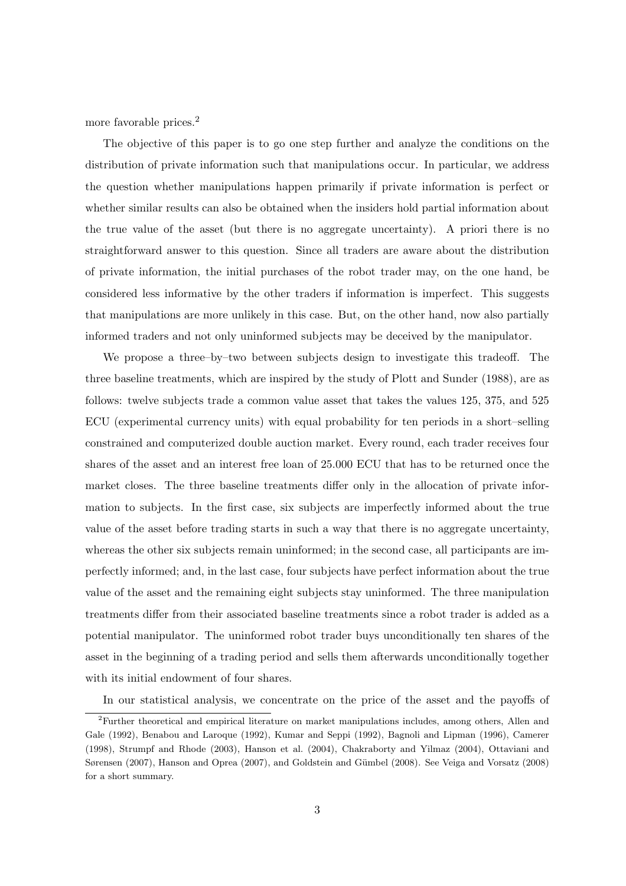more favorable prices.<sup>2</sup>

The objective of this paper is to go one step further and analyze the conditions on the distribution of private information such that manipulations occur. In particular, we address the question whether manipulations happen primarily if private information is perfect or whether similar results can also be obtained when the insiders hold partial information about the true value of the asset (but there is no aggregate uncertainty). A priori there is no straightforward answer to this question. Since all traders are aware about the distribution of private information, the initial purchases of the robot trader may, on the one hand, be considered less informative by the other traders if information is imperfect. This suggests that manipulations are more unlikely in this case. But, on the other hand, now also partially informed traders and not only uninformed subjects may be deceived by the manipulator.

We propose a three–by–two between subjects design to investigate this tradeoff. The three baseline treatments, which are inspired by the study of Plott and Sunder (1988), are as follows: twelve subjects trade a common value asset that takes the values 125, 375, and 525 ECU (experimental currency units) with equal probability for ten periods in a short–selling constrained and computerized double auction market. Every round, each trader receives four shares of the asset and an interest free loan of 25.000 ECU that has to be returned once the market closes. The three baseline treatments differ only in the allocation of private information to subjects. In the first case, six subjects are imperfectly informed about the true value of the asset before trading starts in such a way that there is no aggregate uncertainty, whereas the other six subjects remain uninformed; in the second case, all participants are imperfectly informed; and, in the last case, four subjects have perfect information about the true value of the asset and the remaining eight subjects stay uninformed. The three manipulation treatments differ from their associated baseline treatments since a robot trader is added as a potential manipulator. The uninformed robot trader buys unconditionally ten shares of the asset in the beginning of a trading period and sells them afterwards unconditionally together with its initial endowment of four shares.

In our statistical analysis, we concentrate on the price of the asset and the payoffs of

<sup>2</sup>Further theoretical and empirical literature on market manipulations includes, among others, Allen and Gale (1992), Benabou and Laroque (1992), Kumar and Seppi (1992), Bagnoli and Lipman (1996), Camerer (1998), Strumpf and Rhode (2003), Hanson et al. (2004), Chakraborty and Yilmaz (2004), Ottaviani and Sørensen (2007), Hanson and Oprea (2007), and Goldstein and Gümbel (2008). See Veiga and Vorsatz (2008) for a short summary.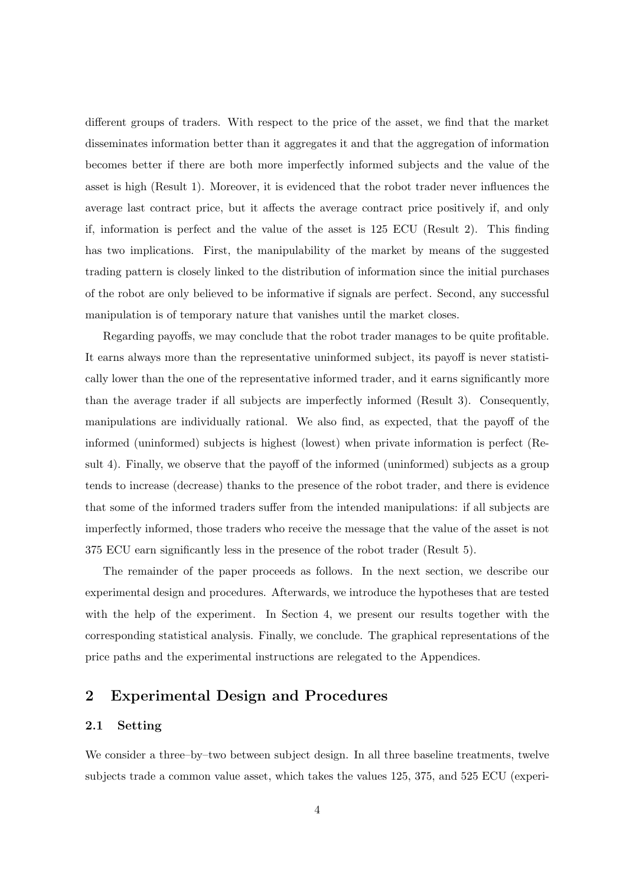different groups of traders. With respect to the price of the asset, we find that the market disseminates information better than it aggregates it and that the aggregation of information becomes better if there are both more imperfectly informed subjects and the value of the asset is high (Result 1). Moreover, it is evidenced that the robot trader never influences the average last contract price, but it affects the average contract price positively if, and only if, information is perfect and the value of the asset is 125 ECU (Result 2). This finding has two implications. First, the manipulability of the market by means of the suggested trading pattern is closely linked to the distribution of information since the initial purchases of the robot are only believed to be informative if signals are perfect. Second, any successful manipulation is of temporary nature that vanishes until the market closes.

Regarding payoffs, we may conclude that the robot trader manages to be quite profitable. It earns always more than the representative uninformed subject, its payoff is never statistically lower than the one of the representative informed trader, and it earns significantly more than the average trader if all subjects are imperfectly informed (Result 3). Consequently, manipulations are individually rational. We also find, as expected, that the payoff of the informed (uninformed) subjects is highest (lowest) when private information is perfect (Result 4). Finally, we observe that the payoff of the informed (uninformed) subjects as a group tends to increase (decrease) thanks to the presence of the robot trader, and there is evidence that some of the informed traders suffer from the intended manipulations: if all subjects are imperfectly informed, those traders who receive the message that the value of the asset is not 375 ECU earn significantly less in the presence of the robot trader (Result 5).

The remainder of the paper proceeds as follows. In the next section, we describe our experimental design and procedures. Afterwards, we introduce the hypotheses that are tested with the help of the experiment. In Section 4, we present our results together with the corresponding statistical analysis. Finally, we conclude. The graphical representations of the price paths and the experimental instructions are relegated to the Appendices.

# 2 Experimental Design and Procedures

### 2.1 Setting

We consider a three–by–two between subject design. In all three baseline treatments, twelve subjects trade a common value asset, which takes the values 125, 375, and 525 ECU (experi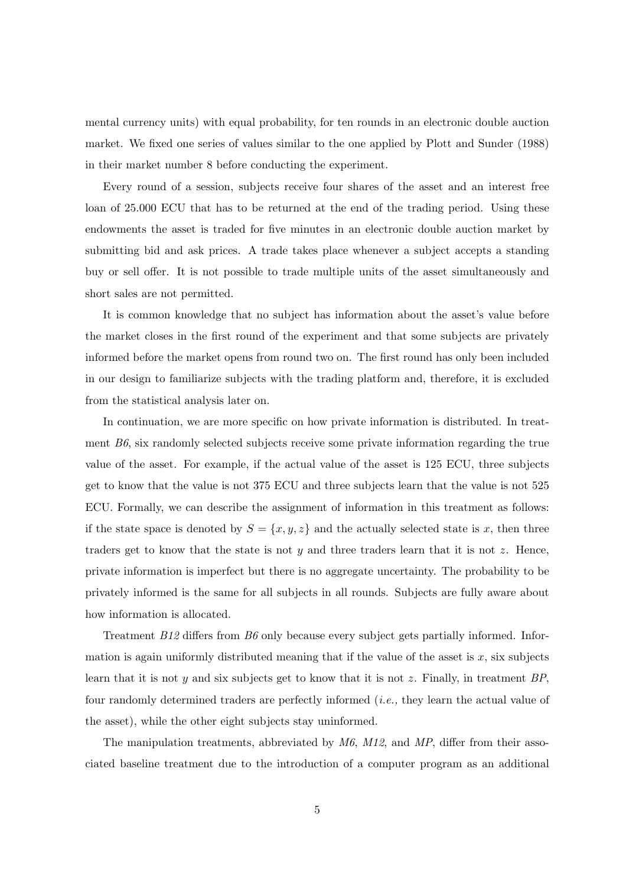mental currency units) with equal probability, for ten rounds in an electronic double auction market. We fixed one series of values similar to the one applied by Plott and Sunder (1988) in their market number 8 before conducting the experiment.

Every round of a session, subjects receive four shares of the asset and an interest free loan of 25.000 ECU that has to be returned at the end of the trading period. Using these endowments the asset is traded for five minutes in an electronic double auction market by submitting bid and ask prices. A trade takes place whenever a subject accepts a standing buy or sell offer. It is not possible to trade multiple units of the asset simultaneously and short sales are not permitted.

It is common knowledge that no subject has information about the asset's value before the market closes in the first round of the experiment and that some subjects are privately informed before the market opens from round two on. The first round has only been included in our design to familiarize subjects with the trading platform and, therefore, it is excluded from the statistical analysis later on.

In continuation, we are more specific on how private information is distributed. In treatment *B6*, six randomly selected subjects receive some private information regarding the true value of the asset. For example, if the actual value of the asset is 125 ECU, three subjects get to know that the value is not 375 ECU and three subjects learn that the value is not 525 ECU. Formally, we can describe the assignment of information in this treatment as follows: if the state space is denoted by  $S = \{x, y, z\}$  and the actually selected state is x, then three traders get to know that the state is not  $y$  and three traders learn that it is not  $z$ . Hence, private information is imperfect but there is no aggregate uncertainty. The probability to be privately informed is the same for all subjects in all rounds. Subjects are fully aware about how information is allocated.

Treatment *B12* differs from *B6* only because every subject gets partially informed. Information is again uniformly distributed meaning that if the value of the asset is  $x$ , six subjects learn that it is not y and six subjects get to know that it is not z. Finally, in treatment *BP*, four randomly determined traders are perfectly informed (*i.e.,* they learn the actual value of the asset), while the other eight subjects stay uninformed.

The manipulation treatments, abbreviated by *M6*, *M12*, and *MP*, differ from their associated baseline treatment due to the introduction of a computer program as an additional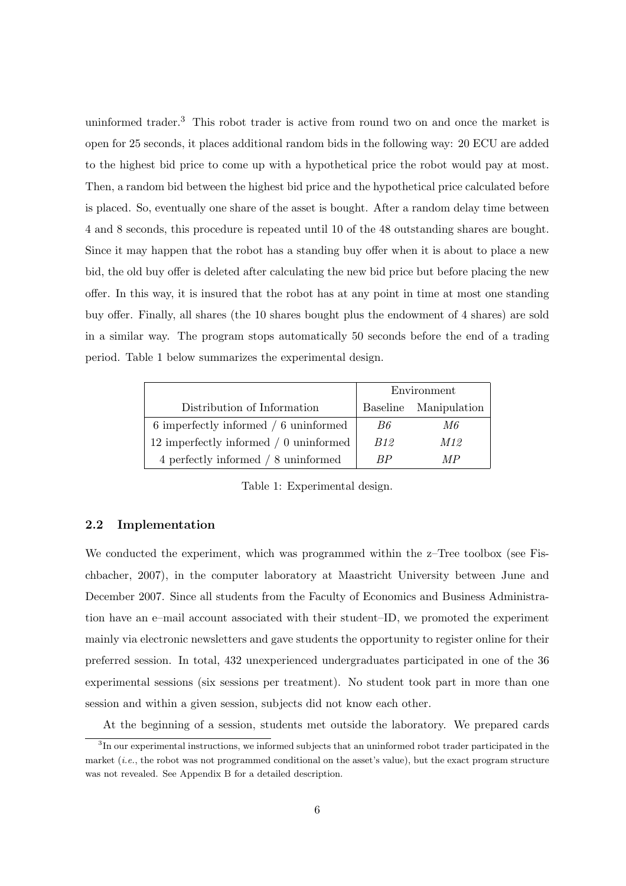uninformed trader.<sup>3</sup> This robot trader is active from round two on and once the market is open for 25 seconds, it places additional random bids in the following way: 20 ECU are added to the highest bid price to come up with a hypothetical price the robot would pay at most. Then, a random bid between the highest bid price and the hypothetical price calculated before is placed. So, eventually one share of the asset is bought. After a random delay time between 4 and 8 seconds, this procedure is repeated until 10 of the 48 outstanding shares are bought. Since it may happen that the robot has a standing buy offer when it is about to place a new bid, the old buy offer is deleted after calculating the new bid price but before placing the new offer. In this way, it is insured that the robot has at any point in time at most one standing buy offer. Finally, all shares (the 10 shares bought plus the endowment of 4 shares) are sold in a similar way. The program stops automatically 50 seconds before the end of a trading period. Table 1 below summarizes the experimental design.

|                                        | Environment |                       |
|----------------------------------------|-------------|-----------------------|
| Distribution of Information            |             | Baseline Manipulation |
| 6 imperfectly informed / 6 uninformed  | B6          | M6                    |
| 12 imperfectly informed / 0 uninformed | <i>B12</i>  | M12                   |
| 4 perfectly informed / 8 uninformed    | RР          | M P                   |

Table 1: Experimental design.

#### 2.2 Implementation

We conducted the experiment, which was programmed within the  $z$ -Tree toolbox (see Fischbacher, 2007), in the computer laboratory at Maastricht University between June and December 2007. Since all students from the Faculty of Economics and Business Administration have an e–mail account associated with their student–ID, we promoted the experiment mainly via electronic newsletters and gave students the opportunity to register online for their preferred session. In total, 432 unexperienced undergraduates participated in one of the 36 experimental sessions (six sessions per treatment). No student took part in more than one session and within a given session, subjects did not know each other.

At the beginning of a session, students met outside the laboratory. We prepared cards

<sup>&</sup>lt;sup>3</sup>In our experimental instructions, we informed subjects that an uninformed robot trader participated in the market (*i.e.*, the robot was not programmed conditional on the asset's value), but the exact program structure was not revealed. See Appendix B for a detailed description.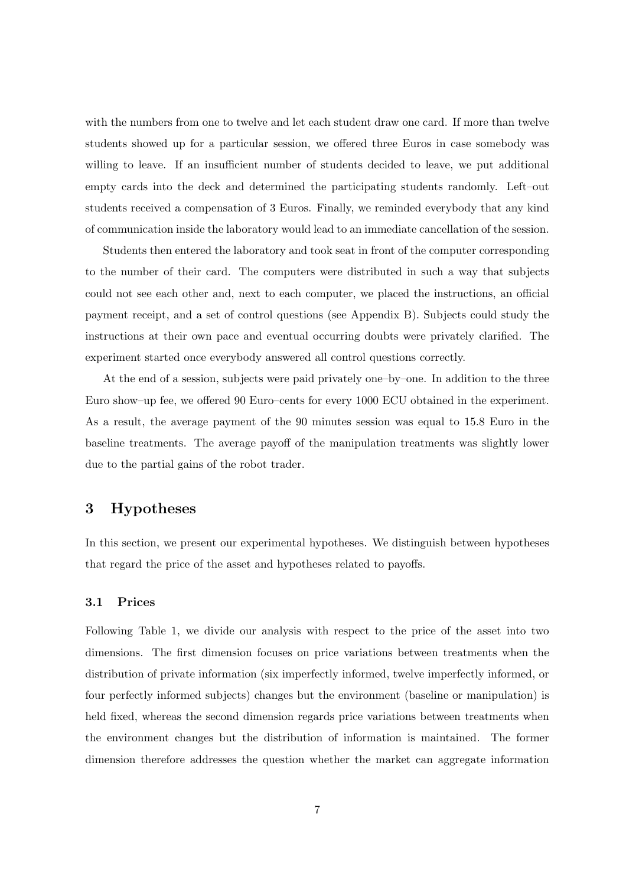with the numbers from one to twelve and let each student draw one card. If more than twelve students showed up for a particular session, we offered three Euros in case somebody was willing to leave. If an insufficient number of students decided to leave, we put additional empty cards into the deck and determined the participating students randomly. Left–out students received a compensation of 3 Euros. Finally, we reminded everybody that any kind of communication inside the laboratory would lead to an immediate cancellation of the session.

Students then entered the laboratory and took seat in front of the computer corresponding to the number of their card. The computers were distributed in such a way that subjects could not see each other and, next to each computer, we placed the instructions, an official payment receipt, and a set of control questions (see Appendix B). Subjects could study the instructions at their own pace and eventual occurring doubts were privately clarified. The experiment started once everybody answered all control questions correctly.

At the end of a session, subjects were paid privately one–by–one. In addition to the three Euro show–up fee, we offered 90 Euro–cents for every 1000 ECU obtained in the experiment. As a result, the average payment of the 90 minutes session was equal to 15.8 Euro in the baseline treatments. The average payoff of the manipulation treatments was slightly lower due to the partial gains of the robot trader.

# 3 Hypotheses

In this section, we present our experimental hypotheses. We distinguish between hypotheses that regard the price of the asset and hypotheses related to payoffs.

#### 3.1 Prices

Following Table 1, we divide our analysis with respect to the price of the asset into two dimensions. The first dimension focuses on price variations between treatments when the distribution of private information (six imperfectly informed, twelve imperfectly informed, or four perfectly informed subjects) changes but the environment (baseline or manipulation) is held fixed, whereas the second dimension regards price variations between treatments when the environment changes but the distribution of information is maintained. The former dimension therefore addresses the question whether the market can aggregate information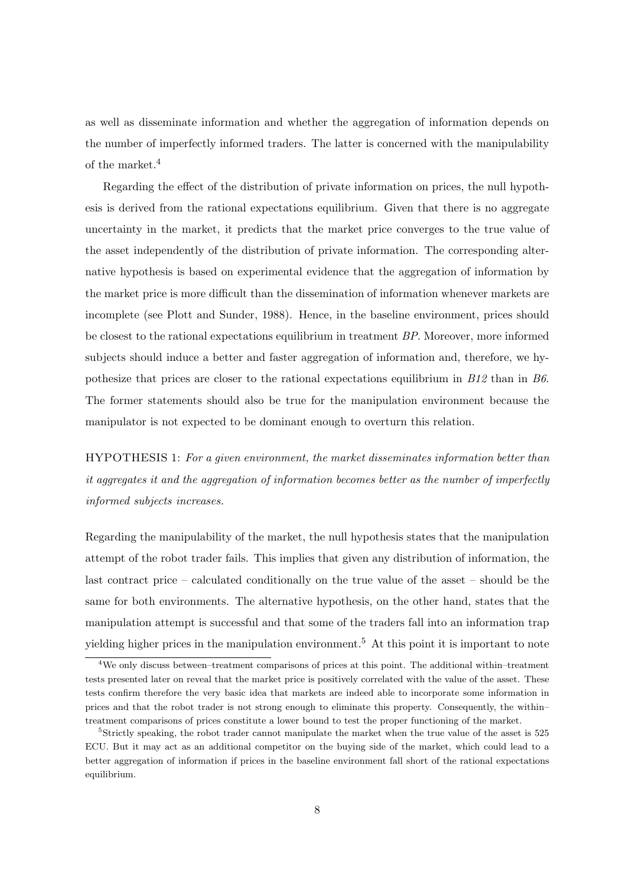as well as disseminate information and whether the aggregation of information depends on the number of imperfectly informed traders. The latter is concerned with the manipulability of the market.<sup>4</sup>

Regarding the effect of the distribution of private information on prices, the null hypothesis is derived from the rational expectations equilibrium. Given that there is no aggregate uncertainty in the market, it predicts that the market price converges to the true value of the asset independently of the distribution of private information. The corresponding alternative hypothesis is based on experimental evidence that the aggregation of information by the market price is more difficult than the dissemination of information whenever markets are incomplete (see Plott and Sunder, 1988). Hence, in the baseline environment, prices should be closest to the rational expectations equilibrium in treatment *BP*. Moreover, more informed subjects should induce a better and faster aggregation of information and, therefore, we hypothesize that prices are closer to the rational expectations equilibrium in *B12* than in *B6*. The former statements should also be true for the manipulation environment because the manipulator is not expected to be dominant enough to overturn this relation.

HYPOTHESIS 1: *For a given environment, the market disseminates information better than it aggregates it and the aggregation of information becomes better as the number of imperfectly informed subjects increases.*

Regarding the manipulability of the market, the null hypothesis states that the manipulation attempt of the robot trader fails. This implies that given any distribution of information, the last contract price – calculated conditionally on the true value of the asset – should be the same for both environments. The alternative hypothesis, on the other hand, states that the manipulation attempt is successful and that some of the traders fall into an information trap yielding higher prices in the manipulation environment.<sup>5</sup> At this point it is important to note

<sup>4</sup>We only discuss between–treatment comparisons of prices at this point. The additional within–treatment tests presented later on reveal that the market price is positively correlated with the value of the asset. These tests confirm therefore the very basic idea that markets are indeed able to incorporate some information in prices and that the robot trader is not strong enough to eliminate this property. Consequently, the within– treatment comparisons of prices constitute a lower bound to test the proper functioning of the market.

<sup>5</sup>Strictly speaking, the robot trader cannot manipulate the market when the true value of the asset is 525 ECU. But it may act as an additional competitor on the buying side of the market, which could lead to a better aggregation of information if prices in the baseline environment fall short of the rational expectations equilibrium.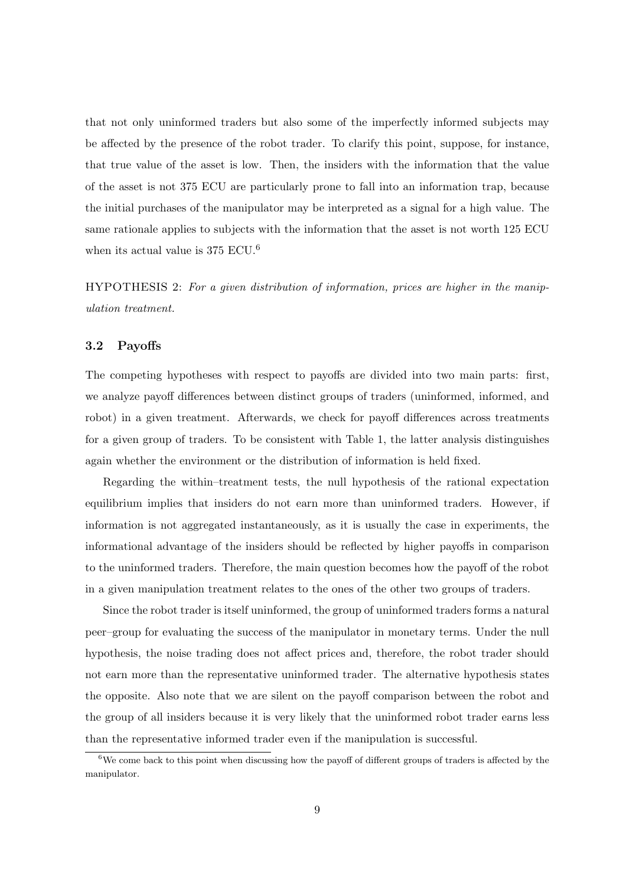that not only uninformed traders but also some of the imperfectly informed subjects may be affected by the presence of the robot trader. To clarify this point, suppose, for instance, that true value of the asset is low. Then, the insiders with the information that the value of the asset is not 375 ECU are particularly prone to fall into an information trap, because the initial purchases of the manipulator may be interpreted as a signal for a high value. The same rationale applies to subjects with the information that the asset is not worth 125 ECU when its actual value is  $375 \text{ ECU}.^6$ 

HYPOTHESIS 2: *For a given distribution of information, prices are higher in the manipulation treatment.*

#### 3.2 Payoffs

The competing hypotheses with respect to payoffs are divided into two main parts: first, we analyze payoff differences between distinct groups of traders (uninformed, informed, and robot) in a given treatment. Afterwards, we check for payoff differences across treatments for a given group of traders. To be consistent with Table 1, the latter analysis distinguishes again whether the environment or the distribution of information is held fixed.

Regarding the within–treatment tests, the null hypothesis of the rational expectation equilibrium implies that insiders do not earn more than uninformed traders. However, if information is not aggregated instantaneously, as it is usually the case in experiments, the informational advantage of the insiders should be reflected by higher payoffs in comparison to the uninformed traders. Therefore, the main question becomes how the payoff of the robot in a given manipulation treatment relates to the ones of the other two groups of traders.

Since the robot trader is itself uninformed, the group of uninformed traders forms a natural peer–group for evaluating the success of the manipulator in monetary terms. Under the null hypothesis, the noise trading does not affect prices and, therefore, the robot trader should not earn more than the representative uninformed trader. The alternative hypothesis states the opposite. Also note that we are silent on the payoff comparison between the robot and the group of all insiders because it is very likely that the uninformed robot trader earns less than the representative informed trader even if the manipulation is successful.

 $6$ We come back to this point when discussing how the payoff of different groups of traders is affected by the manipulator.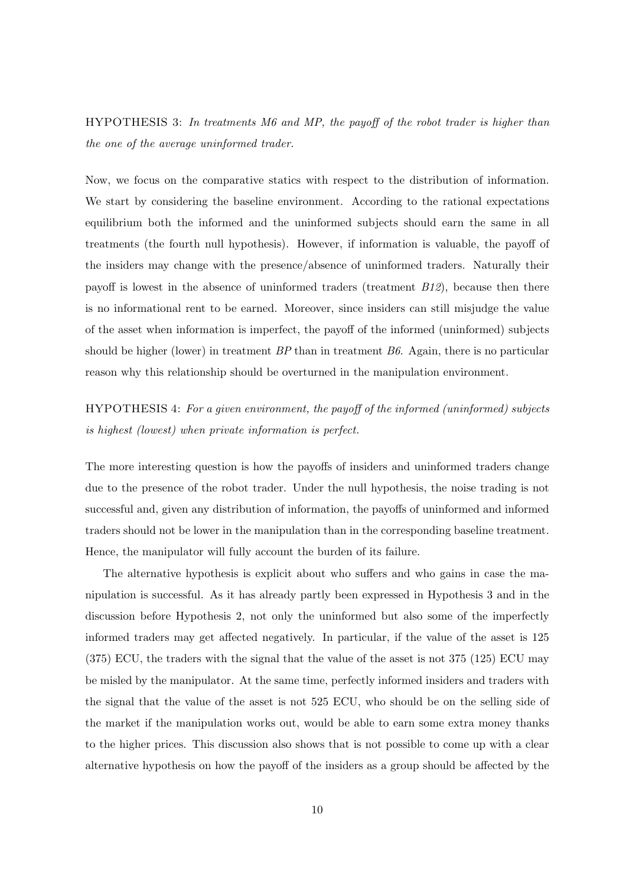HYPOTHESIS 3: *In treatments M6 and MP, the payoff of the robot trader is higher than the one of the average uninformed trader.*

Now, we focus on the comparative statics with respect to the distribution of information. We start by considering the baseline environment. According to the rational expectations equilibrium both the informed and the uninformed subjects should earn the same in all treatments (the fourth null hypothesis). However, if information is valuable, the payoff of the insiders may change with the presence/absence of uninformed traders. Naturally their payoff is lowest in the absence of uninformed traders (treatment *B12*), because then there is no informational rent to be earned. Moreover, since insiders can still misjudge the value of the asset when information is imperfect, the payoff of the informed (uninformed) subjects should be higher (lower) in treatment *BP* than in treatment *B6*. Again, there is no particular reason why this relationship should be overturned in the manipulation environment.

HYPOTHESIS 4: *For a given environment, the payoff of the informed (uninformed) subjects is highest (lowest) when private information is perfect.*

The more interesting question is how the payoffs of insiders and uninformed traders change due to the presence of the robot trader. Under the null hypothesis, the noise trading is not successful and, given any distribution of information, the payoffs of uninformed and informed traders should not be lower in the manipulation than in the corresponding baseline treatment. Hence, the manipulator will fully account the burden of its failure.

The alternative hypothesis is explicit about who suffers and who gains in case the manipulation is successful. As it has already partly been expressed in Hypothesis 3 and in the discussion before Hypothesis 2, not only the uninformed but also some of the imperfectly informed traders may get affected negatively. In particular, if the value of the asset is 125 (375) ECU, the traders with the signal that the value of the asset is not 375 (125) ECU may be misled by the manipulator. At the same time, perfectly informed insiders and traders with the signal that the value of the asset is not 525 ECU, who should be on the selling side of the market if the manipulation works out, would be able to earn some extra money thanks to the higher prices. This discussion also shows that is not possible to come up with a clear alternative hypothesis on how the payoff of the insiders as a group should be affected by the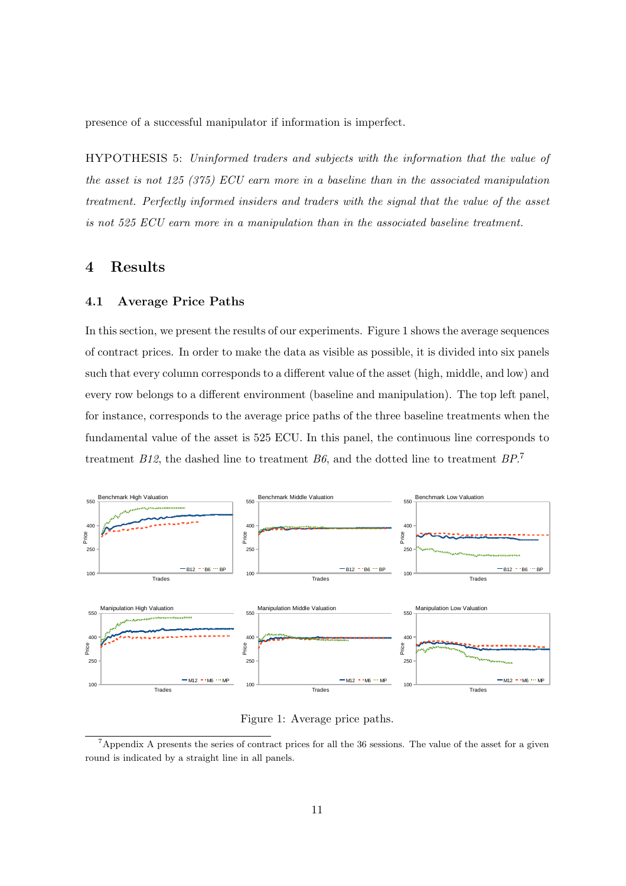presence of a successful manipulator if information is imperfect.

HYPOTHESIS 5: *Uninformed traders and subjects with the information that the value of the asset is not 125 (375) ECU earn more in a baseline than in the associated manipulation treatment. Perfectly informed insiders and traders with the signal that the value of the asset is not 525 ECU earn more in a manipulation than in the associated baseline treatment.*

# 4 Results

#### 4.1 Average Price Paths

In this section, we present the results of our experiments. Figure 1 shows the average sequences of contract prices. In order to make the data as visible as possible, it is divided into six panels such that every column corresponds to a different value of the asset (high, middle, and low) and every row belongs to a different environment (baseline and manipulation). The top left panel, for instance, corresponds to the average price paths of the three baseline treatments when the fundamental value of the asset is 525 ECU. In this panel, the continuous line corresponds to treatment *B12*, the dashed line to treatment *B6*, and the dotted line to treatment *BP*. 7



Figure 1: Average price paths.

<sup>&</sup>lt;sup>7</sup>Appendix A presents the series of contract prices for all the 36 sessions. The value of the asset for a given round is indicated by a straight line in all panels.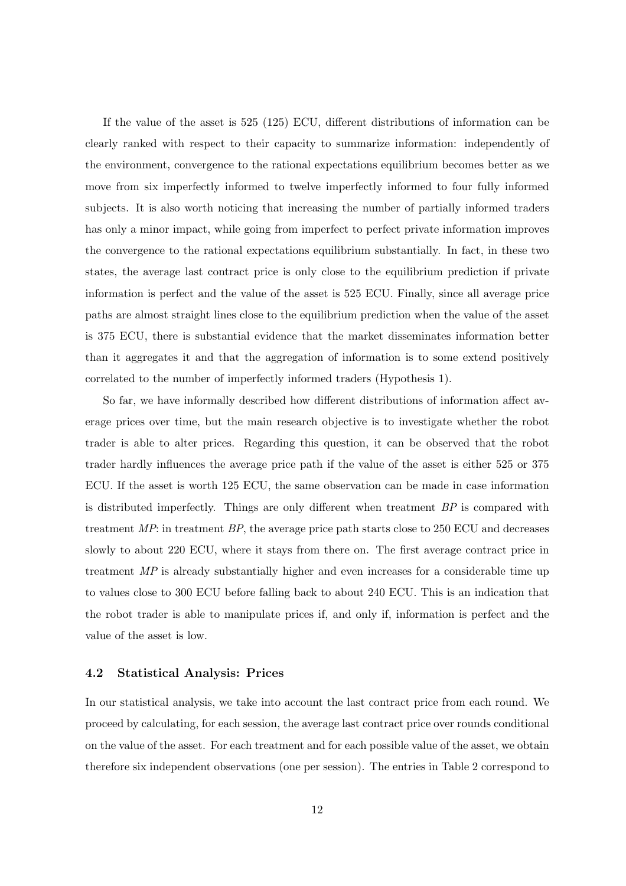If the value of the asset is 525 (125) ECU, different distributions of information can be clearly ranked with respect to their capacity to summarize information: independently of the environment, convergence to the rational expectations equilibrium becomes better as we move from six imperfectly informed to twelve imperfectly informed to four fully informed subjects. It is also worth noticing that increasing the number of partially informed traders has only a minor impact, while going from imperfect to perfect private information improves the convergence to the rational expectations equilibrium substantially. In fact, in these two states, the average last contract price is only close to the equilibrium prediction if private information is perfect and the value of the asset is 525 ECU. Finally, since all average price paths are almost straight lines close to the equilibrium prediction when the value of the asset is 375 ECU, there is substantial evidence that the market disseminates information better than it aggregates it and that the aggregation of information is to some extend positively correlated to the number of imperfectly informed traders (Hypothesis 1).

So far, we have informally described how different distributions of information affect average prices over time, but the main research objective is to investigate whether the robot trader is able to alter prices. Regarding this question, it can be observed that the robot trader hardly influences the average price path if the value of the asset is either 525 or 375 ECU. If the asset is worth 125 ECU, the same observation can be made in case information is distributed imperfectly. Things are only different when treatment *BP* is compared with treatment *MP*: in treatment *BP*, the average price path starts close to 250 ECU and decreases slowly to about 220 ECU, where it stays from there on. The first average contract price in treatment *MP* is already substantially higher and even increases for a considerable time up to values close to 300 ECU before falling back to about 240 ECU. This is an indication that the robot trader is able to manipulate prices if, and only if, information is perfect and the value of the asset is low.

#### 4.2 Statistical Analysis: Prices

In our statistical analysis, we take into account the last contract price from each round. We proceed by calculating, for each session, the average last contract price over rounds conditional on the value of the asset. For each treatment and for each possible value of the asset, we obtain therefore six independent observations (one per session). The entries in Table 2 correspond to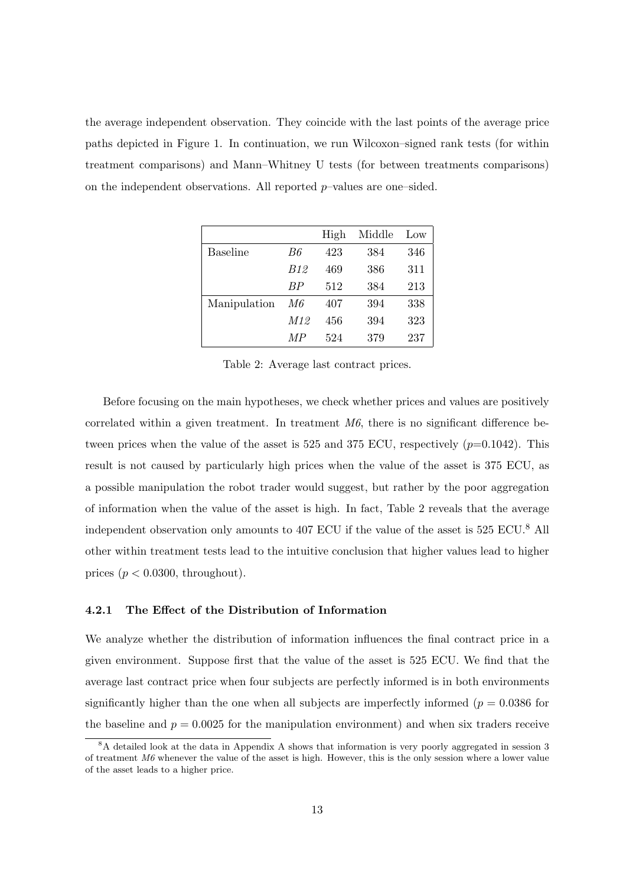the average independent observation. They coincide with the last points of the average price paths depicted in Figure 1. In continuation, we run Wilcoxon–signed rank tests (for within treatment comparisons) and Mann–Whitney U tests (for between treatments comparisons) on the independent observations. All reported  $p$ -values are one-sided.

|                 |                 | High | Middle | Low |
|-----------------|-----------------|------|--------|-----|
| <b>Baseline</b> | B6              | 423  | 384    | 346 |
|                 | B <sub>12</sub> | 469  | 386    | 311 |
|                 | BP              | 512  | 384    | 213 |
| Manipulation    | M6              | 407  | 394    | 338 |
|                 | M12             | 456  | 394    | 323 |
|                 | M P             | 524  | 379    | 237 |

Table 2: Average last contract prices.

Before focusing on the main hypotheses, we check whether prices and values are positively correlated within a given treatment. In treatment *M6*, there is no significant difference between prices when the value of the asset is 525 and 375 ECU, respectively  $(p=0.1042)$ . This result is not caused by particularly high prices when the value of the asset is 375 ECU, as a possible manipulation the robot trader would suggest, but rather by the poor aggregation of information when the value of the asset is high. In fact, Table 2 reveals that the average independent observation only amounts to 407 ECU if the value of the asset is 525 ECU.<sup>8</sup> All other within treatment tests lead to the intuitive conclusion that higher values lead to higher prices ( $p < 0.0300$ , throughout).

#### 4.2.1 The Effect of the Distribution of Information

We analyze whether the distribution of information influences the final contract price in a given environment. Suppose first that the value of the asset is 525 ECU. We find that the average last contract price when four subjects are perfectly informed is in both environments significantly higher than the one when all subjects are imperfectly informed ( $p = 0.0386$  for the baseline and  $p = 0.0025$  for the manipulation environment) and when six traders receive

<sup>8</sup>A detailed look at the data in Appendix A shows that information is very poorly aggregated in session 3 of treatment M6 whenever the value of the asset is high. However, this is the only session where a lower value of the asset leads to a higher price.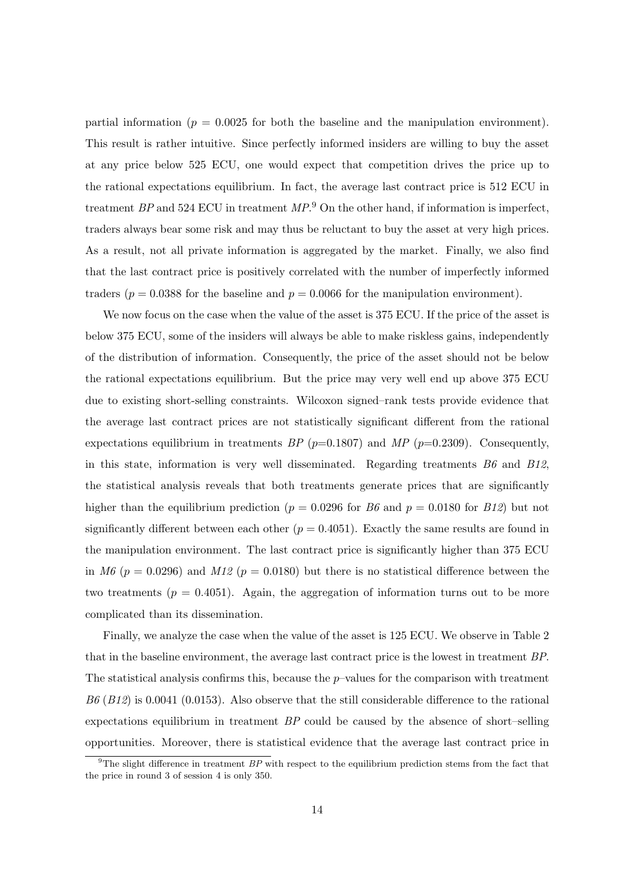partial information ( $p = 0.0025$  for both the baseline and the manipulation environment). This result is rather intuitive. Since perfectly informed insiders are willing to buy the asset at any price below 525 ECU, one would expect that competition drives the price up to the rational expectations equilibrium. In fact, the average last contract price is 512 ECU in treatment *BP* and 524 ECU in treatment *MP*. <sup>9</sup> On the other hand, if information is imperfect, traders always bear some risk and may thus be reluctant to buy the asset at very high prices. As a result, not all private information is aggregated by the market. Finally, we also find that the last contract price is positively correlated with the number of imperfectly informed traders ( $p = 0.0388$  for the baseline and  $p = 0.0066$  for the manipulation environment).

We now focus on the case when the value of the asset is 375 ECU. If the price of the asset is below 375 ECU, some of the insiders will always be able to make riskless gains, independently of the distribution of information. Consequently, the price of the asset should not be below the rational expectations equilibrium. But the price may very well end up above 375 ECU due to existing short-selling constraints. Wilcoxon signed–rank tests provide evidence that the average last contract prices are not statistically significant different from the rational expectations equilibrium in treatments  $BP$  ( $p=0.1807$ ) and  $MP$  ( $p=0.2309$ ). Consequently, in this state, information is very well disseminated. Regarding treatments *B6* and *B12*, the statistical analysis reveals that both treatments generate prices that are significantly higher than the equilibrium prediction ( $p = 0.0296$  for *B6* and  $p = 0.0180$  for *B12*) but not significantly different between each other ( $p = 0.4051$ ). Exactly the same results are found in the manipulation environment. The last contract price is significantly higher than 375 ECU in *M6* ( $p = 0.0296$ ) and *M12* ( $p = 0.0180$ ) but there is no statistical difference between the two treatments  $(p = 0.4051)$ . Again, the aggregation of information turns out to be more complicated than its dissemination.

Finally, we analyze the case when the value of the asset is 125 ECU. We observe in Table 2 that in the baseline environment, the average last contract price is the lowest in treatment *BP*. The statistical analysis confirms this, because the  $p$ -values for the comparison with treatment *B6* (*B12*) is 0.0041 (0.0153). Also observe that the still considerable difference to the rational expectations equilibrium in treatment *BP* could be caused by the absence of short–selling opportunities. Moreover, there is statistical evidence that the average last contract price in

<sup>&</sup>lt;sup>9</sup>The slight difference in treatment  $BP$  with respect to the equilibrium prediction stems from the fact that the price in round 3 of session 4 is only 350.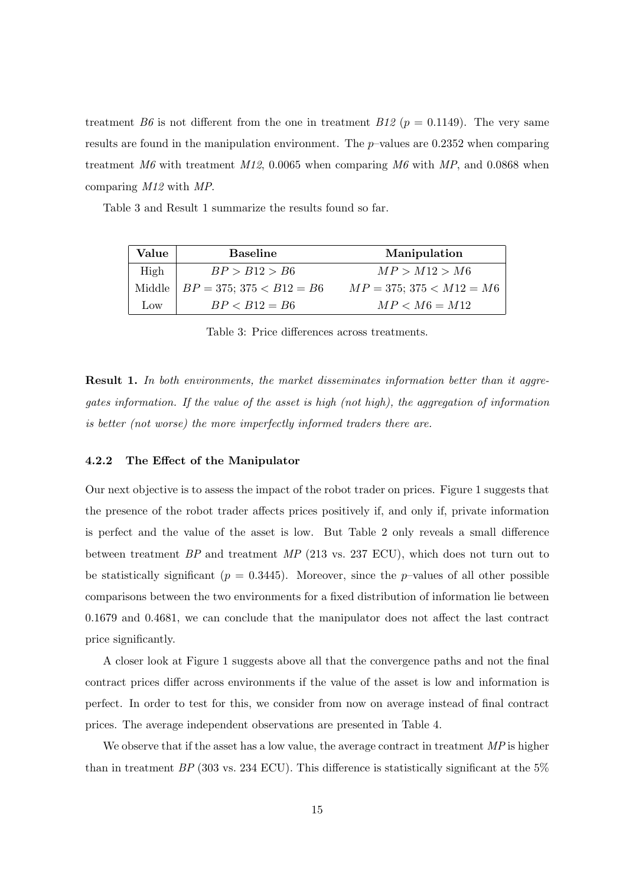treatment *B6* is not different from the one in treatment *B12* ( $p = 0.1149$ ). The very same results are found in the manipulation environment. The  $p$ -values are 0.2352 when comparing treatment *M6* with treatment *M12*, 0.0065 when comparing *M6* with *MP*, and 0.0868 when comparing *M12* with *MP*.

Table 3 and Result 1 summarize the results found so far.

| Value           | <b>Baseline</b>               | Manipulation                  |
|-----------------|-------------------------------|-------------------------------|
| High            | BP > B12 > B6                 | MP > M12 > M6                 |
| Middle          | $BP = 375$ ; $375 < B12 = B6$ | $MP = 375$ ; $375 < M12 = M6$ |
| $_{\text{low}}$ | $BP < B12 = B6$               | $MP < M6 = M12$               |

Table 3: Price differences across treatments.

Result 1. *In both environments, the market disseminates information better than it aggregates information. If the value of the asset is high (not high), the aggregation of information is better (not worse) the more imperfectly informed traders there are.*

#### 4.2.2 The Effect of the Manipulator

Our next objective is to assess the impact of the robot trader on prices. Figure 1 suggests that the presence of the robot trader affects prices positively if, and only if, private information is perfect and the value of the asset is low. But Table 2 only reveals a small difference between treatment *BP* and treatment *MP* (213 vs. 237 ECU), which does not turn out to be statistically significant ( $p = 0.3445$ ). Moreover, since the p-values of all other possible comparisons between the two environments for a fixed distribution of information lie between 0.1679 and 0.4681, we can conclude that the manipulator does not affect the last contract price significantly.

A closer look at Figure 1 suggests above all that the convergence paths and not the final contract prices differ across environments if the value of the asset is low and information is perfect. In order to test for this, we consider from now on average instead of final contract prices. The average independent observations are presented in Table 4.

We observe that if the asset has a low value, the average contract in treatment *MP* is higher than in treatment *BP* (303 vs. 234 ECU). This difference is statistically significant at the 5%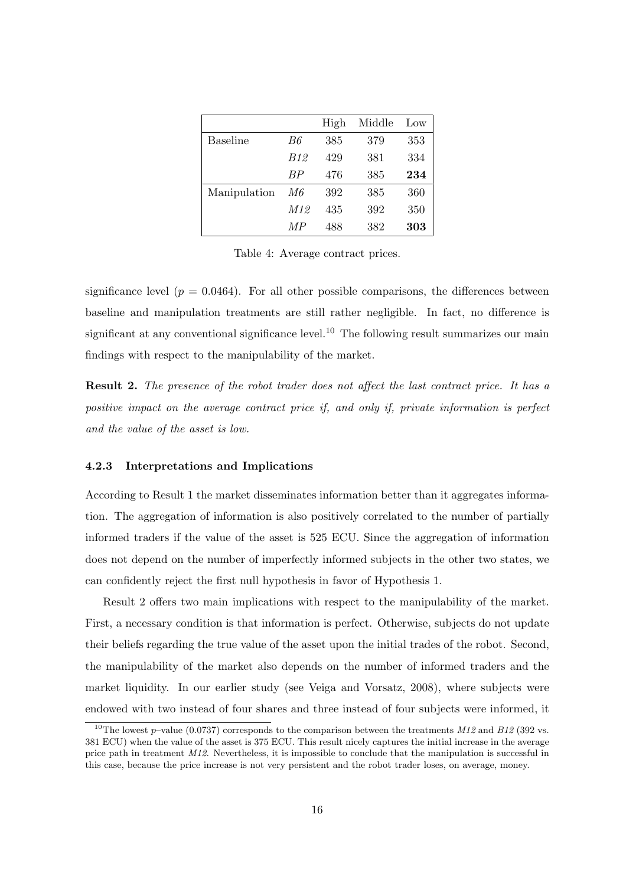|                 |            | High | Middle | Low |
|-----------------|------------|------|--------|-----|
| <b>Baseline</b> | B6         | 385  | 379    | 353 |
|                 | <i>B12</i> | 429  | 381    | 334 |
|                 | BP         | 476  | 385    | 234 |
| Manipulation    | M6         | 392  | 385    | 360 |
|                 | M12        | 435  | 392    | 350 |
|                 | M P        | 488  | 382    | 303 |

Table 4: Average contract prices.

significance level ( $p = 0.0464$ ). For all other possible comparisons, the differences between baseline and manipulation treatments are still rather negligible. In fact, no difference is significant at any conventional significance level.<sup>10</sup> The following result summarizes our main findings with respect to the manipulability of the market.

Result 2. *The presence of the robot trader does not affect the last contract price. It has a positive impact on the average contract price if, and only if, private information is perfect and the value of the asset is low.*

#### 4.2.3 Interpretations and Implications

According to Result 1 the market disseminates information better than it aggregates information. The aggregation of information is also positively correlated to the number of partially informed traders if the value of the asset is 525 ECU. Since the aggregation of information does not depend on the number of imperfectly informed subjects in the other two states, we can confidently reject the first null hypothesis in favor of Hypothesis 1.

Result 2 offers two main implications with respect to the manipulability of the market. First, a necessary condition is that information is perfect. Otherwise, subjects do not update their beliefs regarding the true value of the asset upon the initial trades of the robot. Second, the manipulability of the market also depends on the number of informed traders and the market liquidity. In our earlier study (see Veiga and Vorsatz, 2008), where subjects were endowed with two instead of four shares and three instead of four subjects were informed, it

<sup>&</sup>lt;sup>10</sup>The lowest p–value (0.0737) corresponds to the comparison between the treatments  $M12$  and B12 (392 vs. 381 ECU) when the value of the asset is 375 ECU. This result nicely captures the initial increase in the average price path in treatment M12. Nevertheless, it is impossible to conclude that the manipulation is successful in this case, because the price increase is not very persistent and the robot trader loses, on average, money.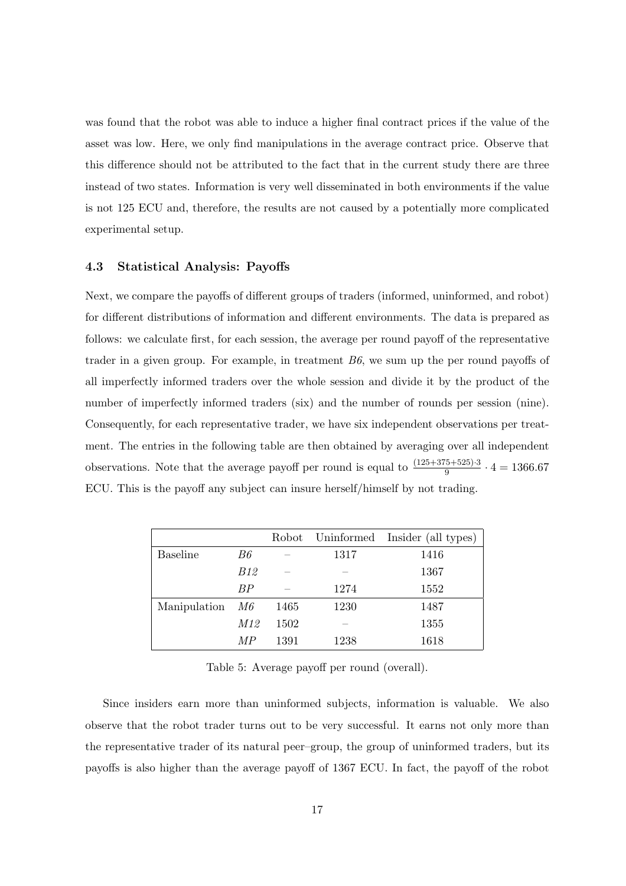was found that the robot was able to induce a higher final contract prices if the value of the asset was low. Here, we only find manipulations in the average contract price. Observe that this difference should not be attributed to the fact that in the current study there are three instead of two states. Information is very well disseminated in both environments if the value is not 125 ECU and, therefore, the results are not caused by a potentially more complicated experimental setup.

#### 4.3 Statistical Analysis: Payoffs

Next, we compare the payoffs of different groups of traders (informed, uninformed, and robot) for different distributions of information and different environments. The data is prepared as follows: we calculate first, for each session, the average per round payoff of the representative trader in a given group. For example, in treatment *B6*, we sum up the per round payoffs of all imperfectly informed traders over the whole session and divide it by the product of the number of imperfectly informed traders (six) and the number of rounds per session (nine). Consequently, for each representative trader, we have six independent observations per treatment. The entries in the following table are then obtained by averaging over all independent observations. Note that the average payoff per round is equal to  $\frac{(125+375+525)\cdot3}{9} \cdot 4 = 1366.67$ ECU. This is the payoff any subject can insure herself/himself by not trading.

|                 |           |      |      | Robot Uninformed Insider (all types) |
|-----------------|-----------|------|------|--------------------------------------|
| <b>Baseline</b> | B6        |      | 1317 | 1416                                 |
|                 | B12       |      |      | 1367                                 |
|                 | <b>BP</b> |      | 1274 | 1552                                 |
| Manipulation    | M6        | 1465 | 1230 | 1487                                 |
|                 | M12       | 1502 |      | 1355                                 |
|                 | МP        | 1391 | 1238 | 1618                                 |

Table 5: Average payoff per round (overall).

Since insiders earn more than uninformed subjects, information is valuable. We also observe that the robot trader turns out to be very successful. It earns not only more than the representative trader of its natural peer–group, the group of uninformed traders, but its payoffs is also higher than the average payoff of 1367 ECU. In fact, the payoff of the robot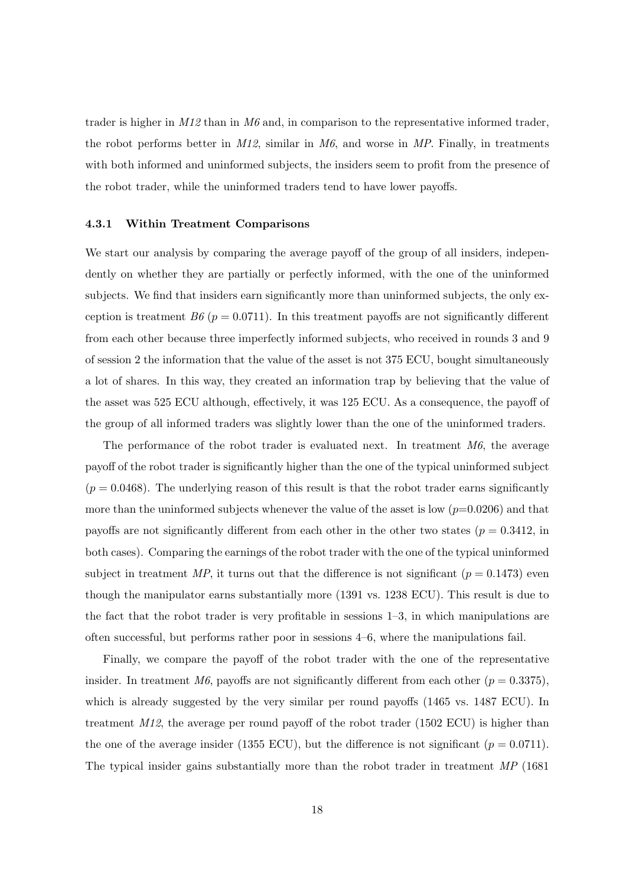trader is higher in *M12* than in *M6* and, in comparison to the representative informed trader, the robot performs better in *M12*, similar in *M6*, and worse in *MP*. Finally, in treatments with both informed and uninformed subjects, the insiders seem to profit from the presence of the robot trader, while the uninformed traders tend to have lower payoffs.

#### 4.3.1 Within Treatment Comparisons

We start our analysis by comparing the average payoff of the group of all insiders, independently on whether they are partially or perfectly informed, with the one of the uninformed subjects. We find that insiders earn significantly more than uninformed subjects, the only exception is treatment *B6* ( $p = 0.0711$ ). In this treatment payoffs are not significantly different from each other because three imperfectly informed subjects, who received in rounds 3 and 9 of session 2 the information that the value of the asset is not 375 ECU, bought simultaneously a lot of shares. In this way, they created an information trap by believing that the value of the asset was 525 ECU although, effectively, it was 125 ECU. As a consequence, the payoff of the group of all informed traders was slightly lower than the one of the uninformed traders.

The performance of the robot trader is evaluated next. In treatment *M6*, the average payoff of the robot trader is significantly higher than the one of the typical uninformed subject  $(p = 0.0468)$ . The underlying reason of this result is that the robot trader earns significantly more than the uninformed subjects whenever the value of the asset is low  $(p=0.0206)$  and that payoffs are not significantly different from each other in the other two states ( $p = 0.3412$ , in both cases). Comparing the earnings of the robot trader with the one of the typical uninformed subject in treatment  $MP$ , it turns out that the difference is not significant  $(p = 0.1473)$  even though the manipulator earns substantially more (1391 vs. 1238 ECU). This result is due to the fact that the robot trader is very profitable in sessions 1–3, in which manipulations are often successful, but performs rather poor in sessions 4–6, where the manipulations fail.

Finally, we compare the payoff of the robot trader with the one of the representative insider. In treatment *M6*, payoffs are not significantly different from each other  $(p = 0.3375)$ , which is already suggested by the very similar per round payoffs (1465 vs. 1487 ECU). In treatment *M12*, the average per round payoff of the robot trader (1502 ECU) is higher than the one of the average insider (1355 ECU), but the difference is not significant ( $p = 0.0711$ ). The typical insider gains substantially more than the robot trader in treatment *MP* (1681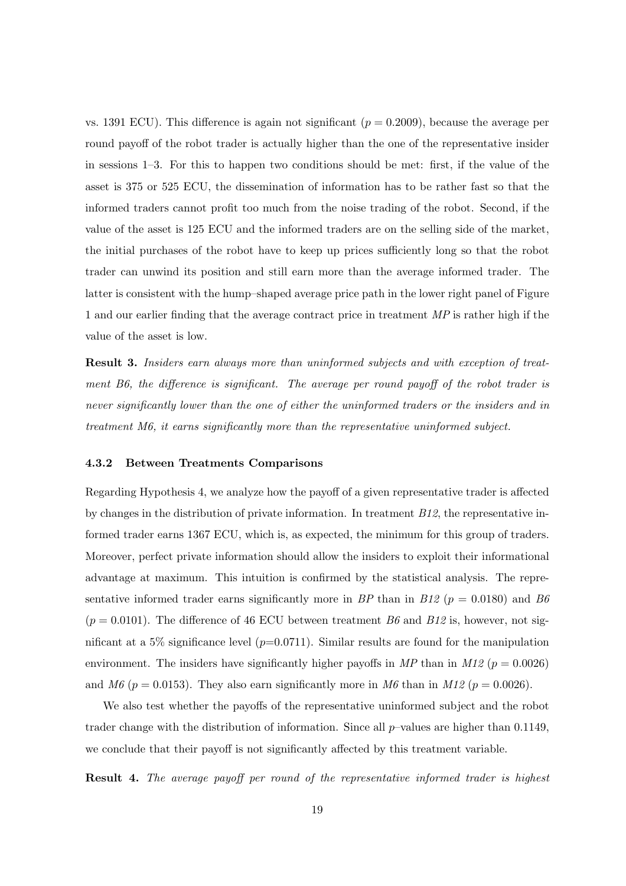vs. 1391 ECU). This difference is again not significant  $(p = 0.2009)$ , because the average per round payoff of the robot trader is actually higher than the one of the representative insider in sessions 1–3. For this to happen two conditions should be met: first, if the value of the asset is 375 or 525 ECU, the dissemination of information has to be rather fast so that the informed traders cannot profit too much from the noise trading of the robot. Second, if the value of the asset is 125 ECU and the informed traders are on the selling side of the market, the initial purchases of the robot have to keep up prices sufficiently long so that the robot trader can unwind its position and still earn more than the average informed trader. The latter is consistent with the hump–shaped average price path in the lower right panel of Figure 1 and our earlier finding that the average contract price in treatment *MP* is rather high if the value of the asset is low.

Result 3. *Insiders earn always more than uninformed subjects and with exception of treatment B6, the difference is significant. The average per round payoff of the robot trader is never significantly lower than the one of either the uninformed traders or the insiders and in treatment M6, it earns significantly more than the representative uninformed subject.*

#### 4.3.2 Between Treatments Comparisons

Regarding Hypothesis 4, we analyze how the payoff of a given representative trader is affected by changes in the distribution of private information. In treatment *B12*, the representative informed trader earns 1367 ECU, which is, as expected, the minimum for this group of traders. Moreover, perfect private information should allow the insiders to exploit their informational advantage at maximum. This intuition is confirmed by the statistical analysis. The representative informed trader earns significantly more in *BP* than in *B12* ( $p = 0.0180$ ) and *B6*  $(p = 0.0101)$ . The difference of 46 ECU between treatment *B6* and *B12* is, however, not significant at a 5% significance level  $(p=0.0711)$ . Similar results are found for the manipulation environment. The insiders have significantly higher payoffs in  $MP$  than in  $M12$  ( $p = 0.0026$ ) and *M6* ( $p = 0.0153$ ). They also earn significantly more in *M6* than in *M12* ( $p = 0.0026$ ).

We also test whether the payoffs of the representative uninformed subject and the robot trader change with the distribution of information. Since all  $p$ -values are higher than 0.1149, we conclude that their payoff is not significantly affected by this treatment variable.

Result 4. *The average payoff per round of the representative informed trader is highest*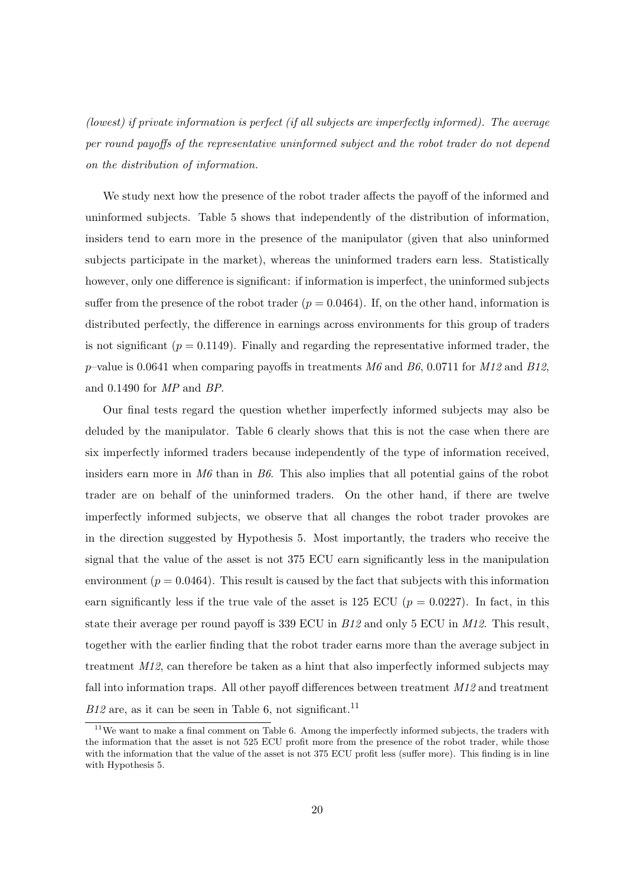*(lowest) if private information is perfect (if all subjects are imperfectly informed). The average per round payoffs of the representative uninformed subject and the robot trader do not depend on the distribution of information.*

We study next how the presence of the robot trader affects the payoff of the informed and uninformed subjects. Table 5 shows that independently of the distribution of information, insiders tend to earn more in the presence of the manipulator (given that also uninformed subjects participate in the market), whereas the uninformed traders earn less. Statistically however, only one difference is significant: if information is imperfect, the uninformed subjects suffer from the presence of the robot trader  $(p = 0.0464)$ . If, on the other hand, information is distributed perfectly, the difference in earnings across environments for this group of traders is not significant  $(p = 0.1149)$ . Finally and regarding the representative informed trader, the p–value is 0.0641 when comparing payoffs in treatments *M6* and *B6*, 0.0711 for *M12* and *B12*, and 0.1490 for *MP* and *BP*.

Our final tests regard the question whether imperfectly informed subjects may also be deluded by the manipulator. Table 6 clearly shows that this is not the case when there are six imperfectly informed traders because independently of the type of information received, insiders earn more in *M6* than in *B6*. This also implies that all potential gains of the robot trader are on behalf of the uninformed traders. On the other hand, if there are twelve imperfectly informed subjects, we observe that all changes the robot trader provokes are in the direction suggested by Hypothesis 5. Most importantly, the traders who receive the signal that the value of the asset is not 375 ECU earn significantly less in the manipulation environment ( $p = 0.0464$ ). This result is caused by the fact that subjects with this information earn significantly less if the true vale of the asset is 125 ECU ( $p = 0.0227$ ). In fact, in this state their average per round payoff is 339 ECU in *B12* and only 5 ECU in *M12*. This result, together with the earlier finding that the robot trader earns more than the average subject in treatment *M12*, can therefore be taken as a hint that also imperfectly informed subjects may fall into information traps. All other payoff differences between treatment *M12* and treatment  $B12$  are, as it can be seen in Table 6, not significant.<sup>11</sup>

 $11$ We want to make a final comment on Table 6. Among the imperfectly informed subjects, the traders with the information that the asset is not 525 ECU profit more from the presence of the robot trader, while those with the information that the value of the asset is not 375 ECU profit less (suffer more). This finding is in line with Hypothesis 5.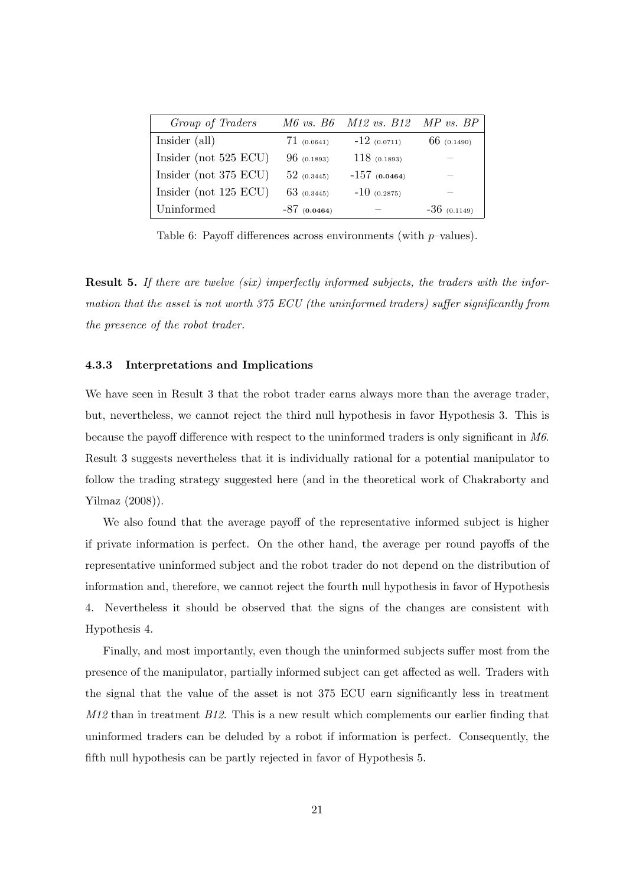| Group of Traders        |                | M6 vs. B6 M12 vs. B12 MP vs. BP |               |
|-------------------------|----------------|---------------------------------|---------------|
| Insider (all)           | 71(0.0641)     | $-12(0.0711)$                   | $66$ (0.1490) |
| Insider (not $525$ ECU) | 96(0.1893)     | 118(0.1893)                     |               |
| Insider (not 375 ECU)   | $52$ (0.3445)  | $-157(0.0464)$                  |               |
| Insider (not $125$ ECU) | $63$ (0.3445)  | $-10(0.2875)$                   |               |
| Uninformed              | $-87$ (0.0464) |                                 | $-36(0.1149)$ |

Table 6: Payoff differences across environments (with  $p$ -values).

Result 5. *If there are twelve (six) imperfectly informed subjects, the traders with the information that the asset is not worth 375 ECU (the uninformed traders) suffer significantly from the presence of the robot trader.*

#### 4.3.3 Interpretations and Implications

We have seen in Result 3 that the robot trader earns always more than the average trader, but, nevertheless, we cannot reject the third null hypothesis in favor Hypothesis 3. This is because the payoff difference with respect to the uninformed traders is only significant in *M6*. Result 3 suggests nevertheless that it is individually rational for a potential manipulator to follow the trading strategy suggested here (and in the theoretical work of Chakraborty and Yilmaz (2008)).

We also found that the average payoff of the representative informed subject is higher if private information is perfect. On the other hand, the average per round payoffs of the representative uninformed subject and the robot trader do not depend on the distribution of information and, therefore, we cannot reject the fourth null hypothesis in favor of Hypothesis 4. Nevertheless it should be observed that the signs of the changes are consistent with Hypothesis 4.

Finally, and most importantly, even though the uninformed subjects suffer most from the presence of the manipulator, partially informed subject can get affected as well. Traders with the signal that the value of the asset is not 375 ECU earn significantly less in treatment *M12* than in treatment *B12*. This is a new result which complements our earlier finding that uninformed traders can be deluded by a robot if information is perfect. Consequently, the fifth null hypothesis can be partly rejected in favor of Hypothesis 5.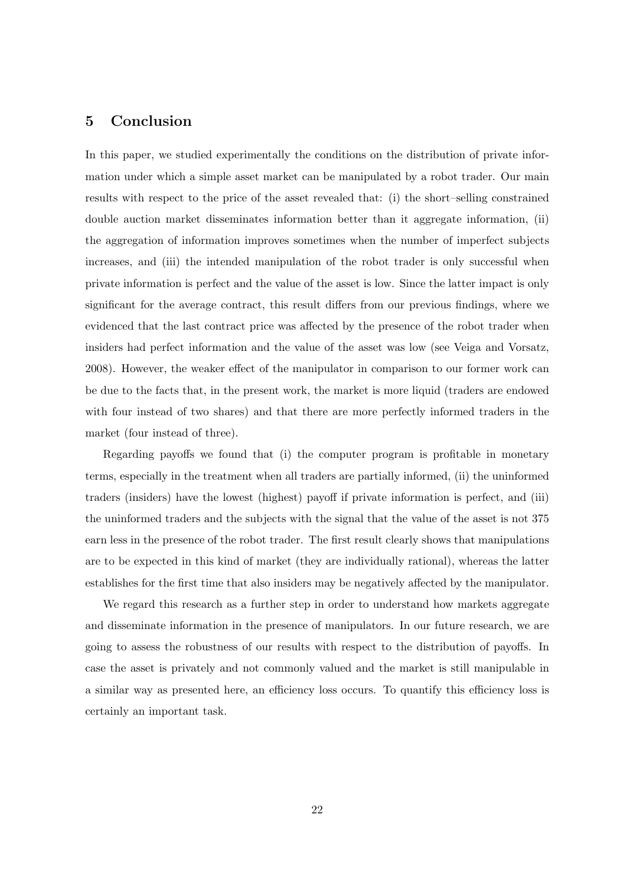# 5 Conclusion

In this paper, we studied experimentally the conditions on the distribution of private information under which a simple asset market can be manipulated by a robot trader. Our main results with respect to the price of the asset revealed that: (i) the short–selling constrained double auction market disseminates information better than it aggregate information, (ii) the aggregation of information improves sometimes when the number of imperfect subjects increases, and (iii) the intended manipulation of the robot trader is only successful when private information is perfect and the value of the asset is low. Since the latter impact is only significant for the average contract, this result differs from our previous findings, where we evidenced that the last contract price was affected by the presence of the robot trader when insiders had perfect information and the value of the asset was low (see Veiga and Vorsatz, 2008). However, the weaker effect of the manipulator in comparison to our former work can be due to the facts that, in the present work, the market is more liquid (traders are endowed with four instead of two shares) and that there are more perfectly informed traders in the market (four instead of three).

Regarding payoffs we found that (i) the computer program is profitable in monetary terms, especially in the treatment when all traders are partially informed, (ii) the uninformed traders (insiders) have the lowest (highest) payoff if private information is perfect, and (iii) the uninformed traders and the subjects with the signal that the value of the asset is not 375 earn less in the presence of the robot trader. The first result clearly shows that manipulations are to be expected in this kind of market (they are individually rational), whereas the latter establishes for the first time that also insiders may be negatively affected by the manipulator.

We regard this research as a further step in order to understand how markets aggregate and disseminate information in the presence of manipulators. In our future research, we are going to assess the robustness of our results with respect to the distribution of payoffs. In case the asset is privately and not commonly valued and the market is still manipulable in a similar way as presented here, an efficiency loss occurs. To quantify this efficiency loss is certainly an important task.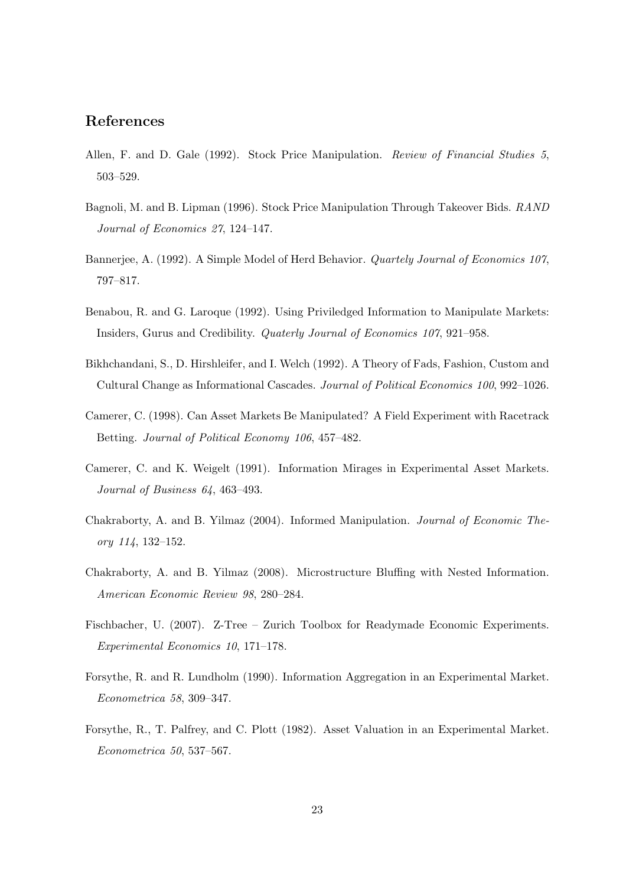# References

- Allen, F. and D. Gale (1992). Stock Price Manipulation. *Review of Financial Studies 5*, 503–529.
- Bagnoli, M. and B. Lipman (1996). Stock Price Manipulation Through Takeover Bids. *RAND Journal of Economics 27*, 124–147.
- Bannerjee, A. (1992). A Simple Model of Herd Behavior. *Quartely Journal of Economics 107*, 797–817.
- Benabou, R. and G. Laroque (1992). Using Priviledged Information to Manipulate Markets: Insiders, Gurus and Credibility. *Quaterly Journal of Economics 107*, 921–958.
- Bikhchandani, S., D. Hirshleifer, and I. Welch (1992). A Theory of Fads, Fashion, Custom and Cultural Change as Informational Cascades. *Journal of Political Economics 100*, 992–1026.
- Camerer, C. (1998). Can Asset Markets Be Manipulated? A Field Experiment with Racetrack Betting. *Journal of Political Economy 106*, 457–482.
- Camerer, C. and K. Weigelt (1991). Information Mirages in Experimental Asset Markets. *Journal of Business 64*, 463–493.
- Chakraborty, A. and B. Yilmaz (2004). Informed Manipulation. *Journal of Economic Theory 114*, 132–152.
- Chakraborty, A. and B. Yilmaz (2008). Microstructure Bluffing with Nested Information. *American Economic Review 98*, 280–284.
- Fischbacher, U. (2007). Z-Tree Zurich Toolbox for Readymade Economic Experiments. *Experimental Economics 10*, 171–178.
- Forsythe, R. and R. Lundholm (1990). Information Aggregation in an Experimental Market. *Econometrica 58*, 309–347.
- Forsythe, R., T. Palfrey, and C. Plott (1982). Asset Valuation in an Experimental Market. *Econometrica 50*, 537–567.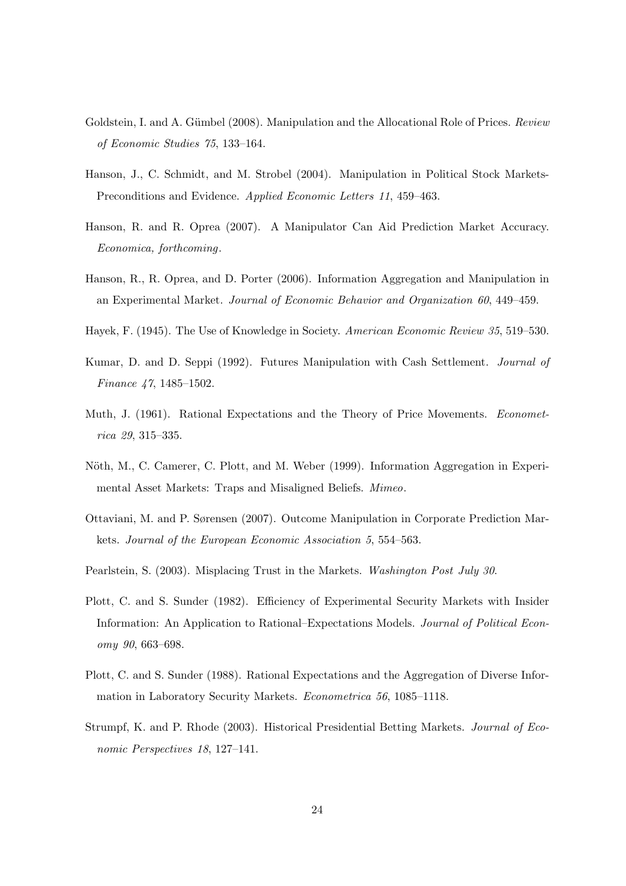- Goldstein, I. and A. Gümbel (2008). Manipulation and the Allocational Role of Prices. *Review of Economic Studies 75*, 133–164.
- Hanson, J., C. Schmidt, and M. Strobel (2004). Manipulation in Political Stock Markets-Preconditions and Evidence. *Applied Economic Letters 11*, 459–463.
- Hanson, R. and R. Oprea (2007). A Manipulator Can Aid Prediction Market Accuracy. *Economica, forthcoming*.
- Hanson, R., R. Oprea, and D. Porter (2006). Information Aggregation and Manipulation in an Experimental Market. *Journal of Economic Behavior and Organization 60*, 449–459.
- Hayek, F. (1945). The Use of Knowledge in Society. *American Economic Review 35*, 519–530.
- Kumar, D. and D. Seppi (1992). Futures Manipulation with Cash Settlement. *Journal of Finance 47*, 1485–1502.
- Muth, J. (1961). Rational Expectations and the Theory of Price Movements. *Econometrica 29*, 315–335.
- Nöth, M., C. Camerer, C. Plott, and M. Weber (1999). Information Aggregation in Experimental Asset Markets: Traps and Misaligned Beliefs. *Mimeo*.
- Ottaviani, M. and P. Sørensen (2007). Outcome Manipulation in Corporate Prediction Markets. *Journal of the European Economic Association 5*, 554–563.
- Pearlstein, S. (2003). Misplacing Trust in the Markets. *Washington Post July 30*.
- Plott, C. and S. Sunder (1982). Efficiency of Experimental Security Markets with Insider Information: An Application to Rational–Expectations Models. *Journal of Political Economy 90*, 663–698.
- Plott, C. and S. Sunder (1988). Rational Expectations and the Aggregation of Diverse Information in Laboratory Security Markets. *Econometrica 56*, 1085–1118.
- Strumpf, K. and P. Rhode (2003). Historical Presidential Betting Markets. *Journal of Economic Perspectives 18*, 127–141.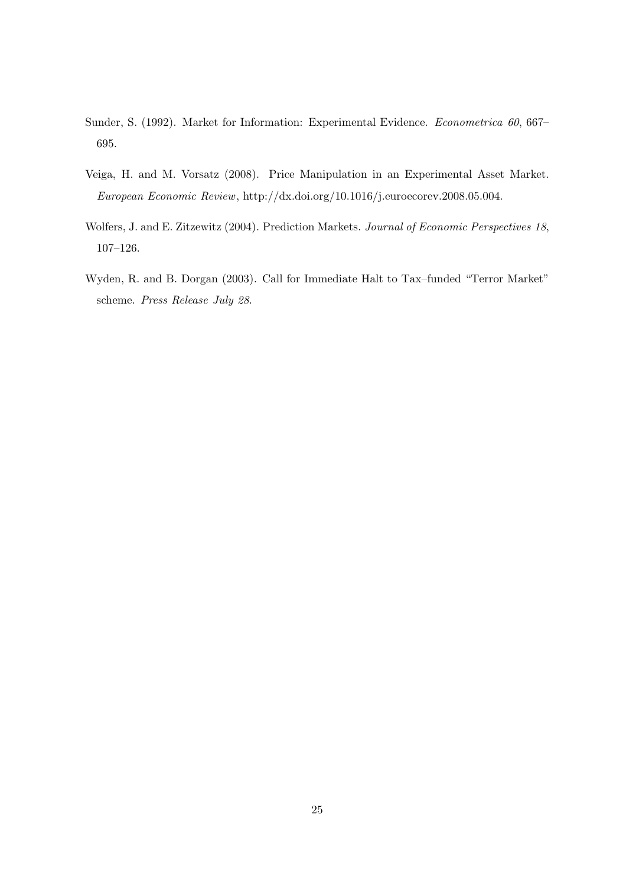- Sunder, S. (1992). Market for Information: Experimental Evidence. *Econometrica 60*, 667– 695.
- Veiga, H. and M. Vorsatz (2008). Price Manipulation in an Experimental Asset Market. *European Economic Review*, http://dx.doi.org/10.1016/j.euroecorev.2008.05.004.
- Wolfers, J. and E. Zitzewitz (2004). Prediction Markets. *Journal of Economic Perspectives 18*, 107–126.
- Wyden, R. and B. Dorgan (2003). Call for Immediate Halt to Tax–funded "Terror Market" scheme. *Press Release July 28*.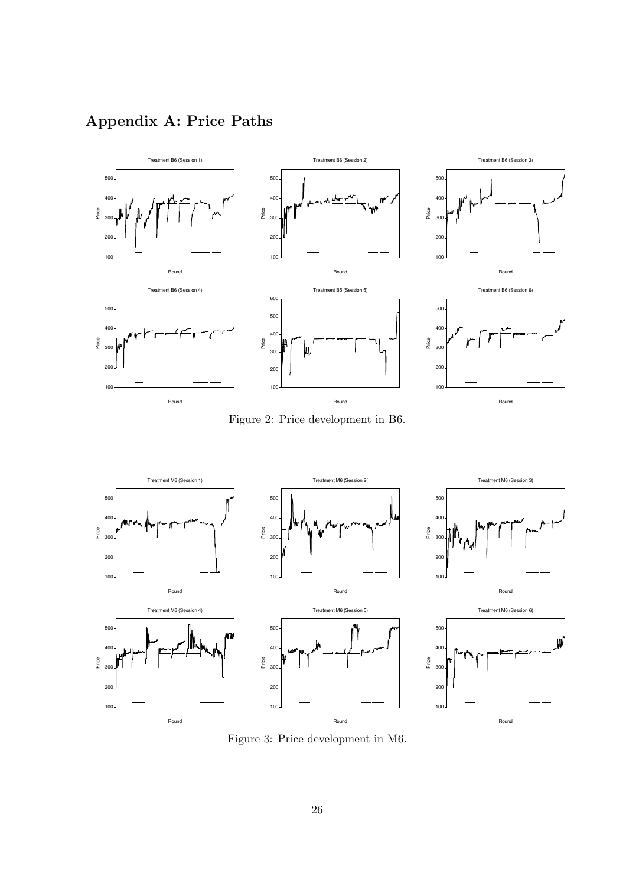# Appendix A: Price Paths



Figure 2: Price development in B6.



Figure 3: Price development in M6.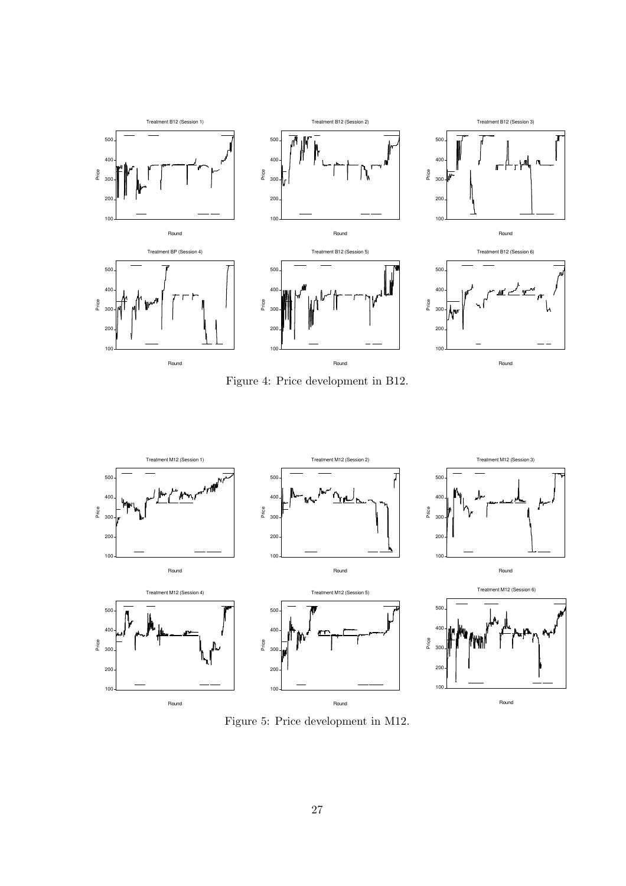

Figure 4: Price development in B12.



Figure 5: Price development in M12.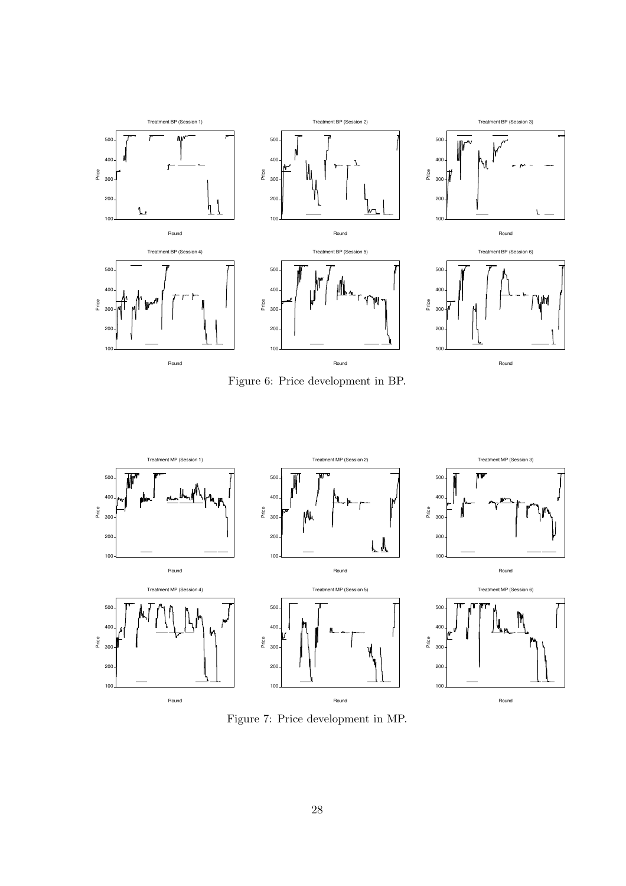

Figure 6: Price development in BP.



Figure 7: Price development in MP.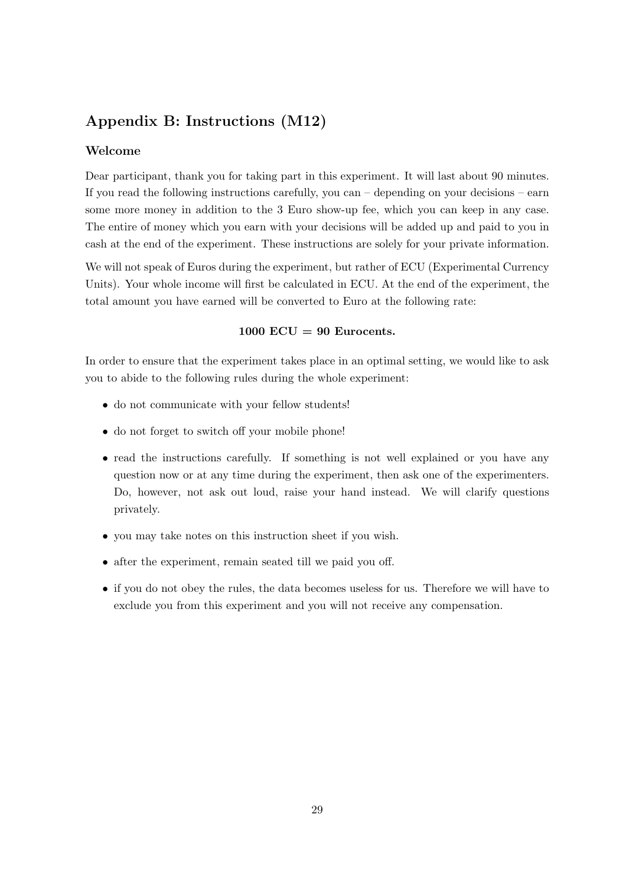# Appendix B: Instructions (M12)

### Welcome

Dear participant, thank you for taking part in this experiment. It will last about 90 minutes. If you read the following instructions carefully, you can – depending on your decisions – earn some more money in addition to the 3 Euro show-up fee, which you can keep in any case. The entire of money which you earn with your decisions will be added up and paid to you in cash at the end of the experiment. These instructions are solely for your private information.

We will not speak of Euros during the experiment, but rather of ECU (Experimental Currency Units). Your whole income will first be calculated in ECU. At the end of the experiment, the total amount you have earned will be converted to Euro at the following rate:

### $1000$  ECU = 90 Eurocents.

In order to ensure that the experiment takes place in an optimal setting, we would like to ask you to abide to the following rules during the whole experiment:

- do not communicate with your fellow students!
- do not forget to switch off your mobile phone!
- read the instructions carefully. If something is not well explained or you have any question now or at any time during the experiment, then ask one of the experimenters. Do, however, not ask out loud, raise your hand instead. We will clarify questions privately.
- you may take notes on this instruction sheet if you wish.
- after the experiment, remain seated till we paid you off.
- if you do not obey the rules, the data becomes useless for us. Therefore we will have to exclude you from this experiment and you will not receive any compensation.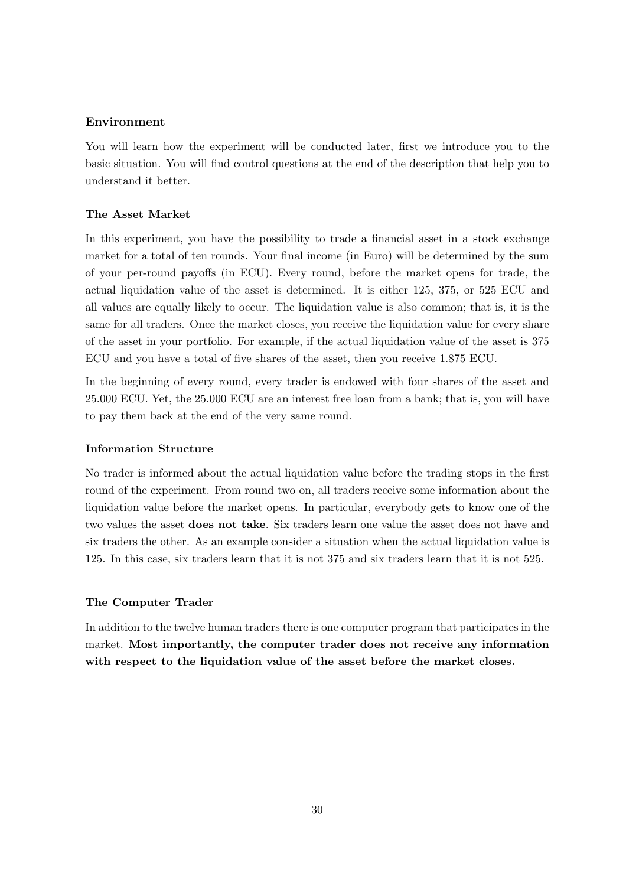### Environment

You will learn how the experiment will be conducted later, first we introduce you to the basic situation. You will find control questions at the end of the description that help you to understand it better.

### The Asset Market

In this experiment, you have the possibility to trade a financial asset in a stock exchange market for a total of ten rounds. Your final income (in Euro) will be determined by the sum of your per-round payoffs (in ECU). Every round, before the market opens for trade, the actual liquidation value of the asset is determined. It is either 125, 375, or 525 ECU and all values are equally likely to occur. The liquidation value is also common; that is, it is the same for all traders. Once the market closes, you receive the liquidation value for every share of the asset in your portfolio. For example, if the actual liquidation value of the asset is 375 ECU and you have a total of five shares of the asset, then you receive 1.875 ECU.

In the beginning of every round, every trader is endowed with four shares of the asset and 25.000 ECU. Yet, the 25.000 ECU are an interest free loan from a bank; that is, you will have to pay them back at the end of the very same round.

#### Information Structure

No trader is informed about the actual liquidation value before the trading stops in the first round of the experiment. From round two on, all traders receive some information about the liquidation value before the market opens. In particular, everybody gets to know one of the two values the asset does not take. Six traders learn one value the asset does not have and six traders the other. As an example consider a situation when the actual liquidation value is 125. In this case, six traders learn that it is not 375 and six traders learn that it is not 525.

#### The Computer Trader

In addition to the twelve human traders there is one computer program that participates in the market. Most importantly, the computer trader does not receive any information with respect to the liquidation value of the asset before the market closes.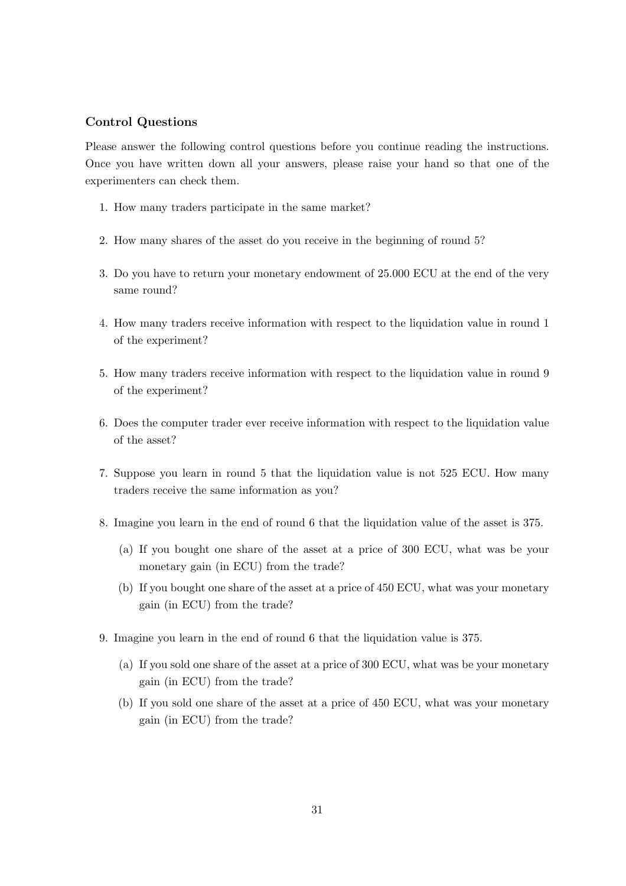### Control Questions

Please answer the following control questions before you continue reading the instructions. Once you have written down all your answers, please raise your hand so that one of the experimenters can check them.

- 1. How many traders participate in the same market?
- 2. How many shares of the asset do you receive in the beginning of round 5?
- 3. Do you have to return your monetary endowment of 25.000 ECU at the end of the very same round?
- 4. How many traders receive information with respect to the liquidation value in round 1 of the experiment?
- 5. How many traders receive information with respect to the liquidation value in round 9 of the experiment?
- 6. Does the computer trader ever receive information with respect to the liquidation value of the asset?
- 7. Suppose you learn in round 5 that the liquidation value is not 525 ECU. How many traders receive the same information as you?
- 8. Imagine you learn in the end of round 6 that the liquidation value of the asset is 375.
	- (a) If you bought one share of the asset at a price of 300 ECU, what was be your monetary gain (in ECU) from the trade?
	- (b) If you bought one share of the asset at a price of 450 ECU, what was your monetary gain (in ECU) from the trade?
- 9. Imagine you learn in the end of round 6 that the liquidation value is 375.
	- (a) If you sold one share of the asset at a price of 300 ECU, what was be your monetary gain (in ECU) from the trade?
	- (b) If you sold one share of the asset at a price of 450 ECU, what was your monetary gain (in ECU) from the trade?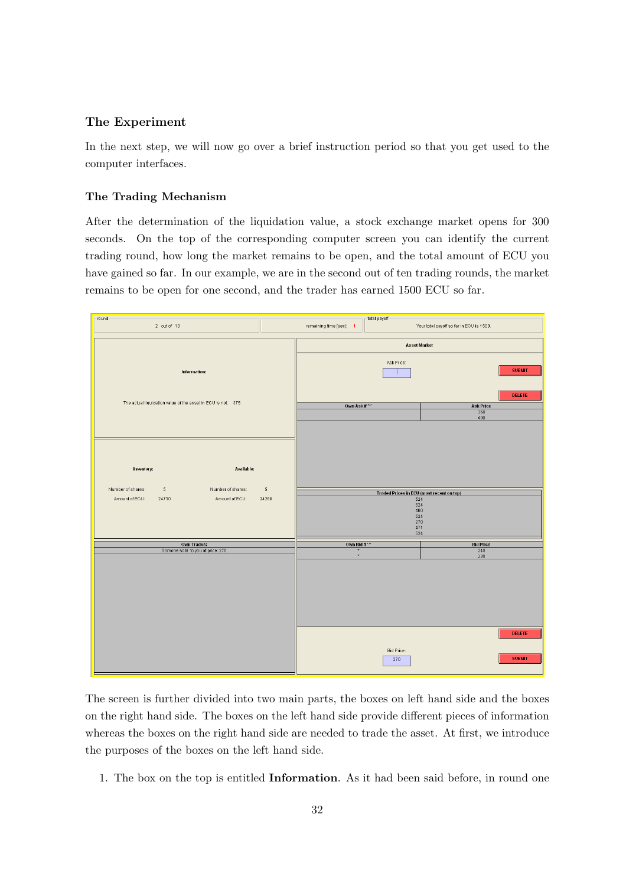### The Experiment

In the next step, we will now go over a brief instruction period so that you get used to the computer interfaces.

#### The Trading Mechanism

After the determination of the liquidation value, a stock exchange market opens for 300 seconds. On the top of the corresponding computer screen you can identify the current trading round, how long the market remains to be open, and the total amount of ECU you have gained so far. In our example, we are in the second out of ten trading rounds, the market remains to be open for one second, and the trader has earned 1500 ECU so far.



The screen is further divided into two main parts, the boxes on left hand side and the boxes on the right hand side. The boxes on the left hand side provide different pieces of information whereas the boxes on the right hand side are needed to trade the asset. At first, we introduce the purposes of the boxes on the left hand side.

1. The box on the top is entitled Information. As it had been said before, in round one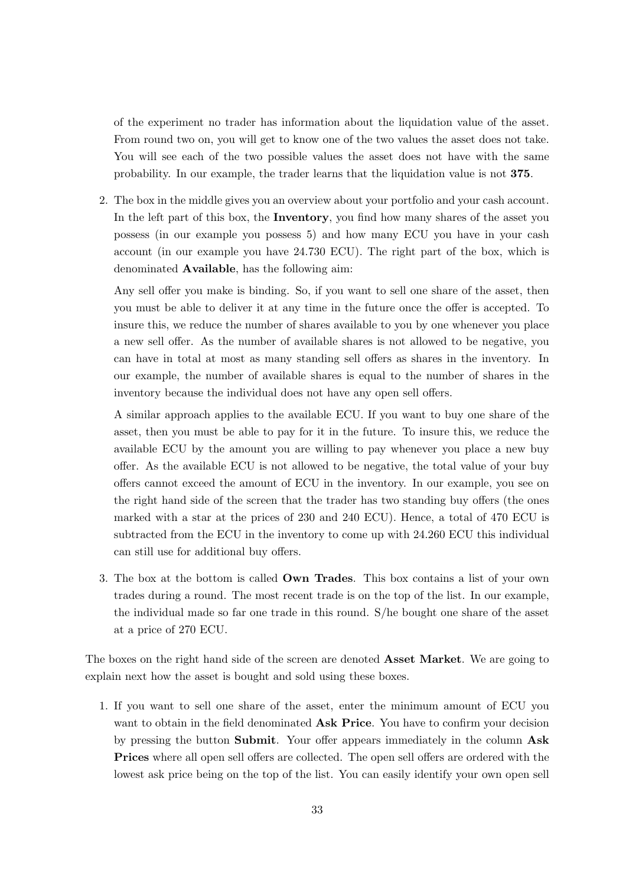of the experiment no trader has information about the liquidation value of the asset. From round two on, you will get to know one of the two values the asset does not take. You will see each of the two possible values the asset does not have with the same probability. In our example, the trader learns that the liquidation value is not 375.

2. The box in the middle gives you an overview about your portfolio and your cash account. In the left part of this box, the Inventory, you find how many shares of the asset you possess (in our example you possess 5) and how many ECU you have in your cash account (in our example you have 24.730 ECU). The right part of the box, which is denominated Available, has the following aim:

Any sell offer you make is binding. So, if you want to sell one share of the asset, then you must be able to deliver it at any time in the future once the offer is accepted. To insure this, we reduce the number of shares available to you by one whenever you place a new sell offer. As the number of available shares is not allowed to be negative, you can have in total at most as many standing sell offers as shares in the inventory. In our example, the number of available shares is equal to the number of shares in the inventory because the individual does not have any open sell offers.

A similar approach applies to the available ECU. If you want to buy one share of the asset, then you must be able to pay for it in the future. To insure this, we reduce the available ECU by the amount you are willing to pay whenever you place a new buy offer. As the available ECU is not allowed to be negative, the total value of your buy offers cannot exceed the amount of ECU in the inventory. In our example, you see on the right hand side of the screen that the trader has two standing buy offers (the ones marked with a star at the prices of 230 and 240 ECU). Hence, a total of 470 ECU is subtracted from the ECU in the inventory to come up with 24.260 ECU this individual can still use for additional buy offers.

3. The box at the bottom is called Own Trades. This box contains a list of your own trades during a round. The most recent trade is on the top of the list. In our example, the individual made so far one trade in this round. S/he bought one share of the asset at a price of 270 ECU.

The boxes on the right hand side of the screen are denoted **Asset Market**. We are going to explain next how the asset is bought and sold using these boxes.

1. If you want to sell one share of the asset, enter the minimum amount of ECU you want to obtain in the field denominated Ask Price. You have to confirm your decision by pressing the button Submit. Your offer appears immediately in the column Ask Prices where all open sell offers are collected. The open sell offers are ordered with the lowest ask price being on the top of the list. You can easily identify your own open sell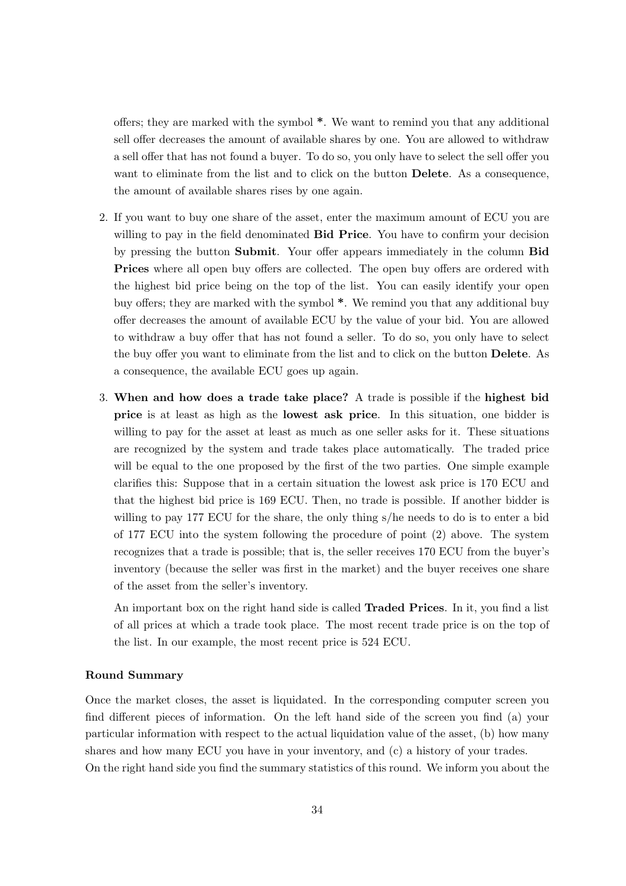offers; they are marked with the symbol \*. We want to remind you that any additional sell offer decreases the amount of available shares by one. You are allowed to withdraw a sell offer that has not found a buyer. To do so, you only have to select the sell offer you want to eliminate from the list and to click on the button **Delete**. As a consequence, the amount of available shares rises by one again.

- 2. If you want to buy one share of the asset, enter the maximum amount of ECU you are willing to pay in the field denominated **Bid Price**. You have to confirm your decision by pressing the button Submit. Your offer appears immediately in the column Bid Prices where all open buy offers are collected. The open buy offers are ordered with the highest bid price being on the top of the list. You can easily identify your open buy offers; they are marked with the symbol \*. We remind you that any additional buy offer decreases the amount of available ECU by the value of your bid. You are allowed to withdraw a buy offer that has not found a seller. To do so, you only have to select the buy offer you want to eliminate from the list and to click on the button Delete. As a consequence, the available ECU goes up again.
- 3. When and how does a trade take place? A trade is possible if the highest bid price is at least as high as the lowest ask price. In this situation, one bidder is willing to pay for the asset at least as much as one seller asks for it. These situations are recognized by the system and trade takes place automatically. The traded price will be equal to the one proposed by the first of the two parties. One simple example clarifies this: Suppose that in a certain situation the lowest ask price is 170 ECU and that the highest bid price is 169 ECU. Then, no trade is possible. If another bidder is willing to pay 177 ECU for the share, the only thing s/he needs to do is to enter a bid of 177 ECU into the system following the procedure of point (2) above. The system recognizes that a trade is possible; that is, the seller receives 170 ECU from the buyer's inventory (because the seller was first in the market) and the buyer receives one share of the asset from the seller's inventory.

An important box on the right hand side is called **Traded Prices**. In it, you find a list of all prices at which a trade took place. The most recent trade price is on the top of the list. In our example, the most recent price is 524 ECU.

#### Round Summary

Once the market closes, the asset is liquidated. In the corresponding computer screen you find different pieces of information. On the left hand side of the screen you find (a) your particular information with respect to the actual liquidation value of the asset, (b) how many shares and how many ECU you have in your inventory, and (c) a history of your trades. On the right hand side you find the summary statistics of this round. We inform you about the